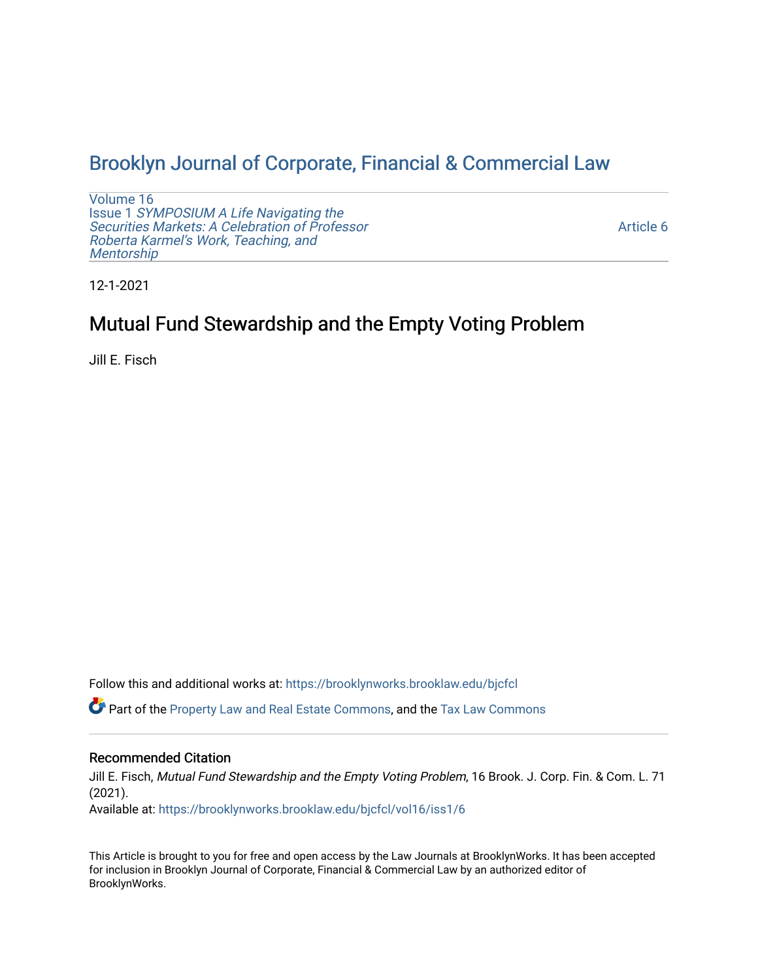# [Brooklyn Journal of Corporate, Financial & Commercial Law](https://brooklynworks.brooklaw.edu/bjcfcl)

[Volume 16](https://brooklynworks.brooklaw.edu/bjcfcl/vol16) Issue 1 [SYMPOSIUM A Life Navigating the](https://brooklynworks.brooklaw.edu/bjcfcl/vol16/iss1) [Securities Markets: A Celebration of Professor](https://brooklynworks.brooklaw.edu/bjcfcl/vol16/iss1) [Roberta Karmel's Work, Teaching, and](https://brooklynworks.brooklaw.edu/bjcfcl/vol16/iss1)  **Mentorship** 

[Article 6](https://brooklynworks.brooklaw.edu/bjcfcl/vol16/iss1/6) 

12-1-2021

# Mutual Fund Stewardship and the Empty Voting Problem

Jill E. Fisch

Follow this and additional works at: [https://brooklynworks.brooklaw.edu/bjcfcl](https://brooklynworks.brooklaw.edu/bjcfcl?utm_source=brooklynworks.brooklaw.edu%2Fbjcfcl%2Fvol16%2Fiss1%2F6&utm_medium=PDF&utm_campaign=PDFCoverPages)

Part of the [Property Law and Real Estate Commons,](http://network.bepress.com/hgg/discipline/897?utm_source=brooklynworks.brooklaw.edu%2Fbjcfcl%2Fvol16%2Fiss1%2F6&utm_medium=PDF&utm_campaign=PDFCoverPages) and the [Tax Law Commons](http://network.bepress.com/hgg/discipline/898?utm_source=brooklynworks.brooklaw.edu%2Fbjcfcl%2Fvol16%2Fiss1%2F6&utm_medium=PDF&utm_campaign=PDFCoverPages)

## Recommended Citation

Jill E. Fisch, Mutual Fund Stewardship and the Empty Voting Problem, 16 Brook. J. Corp. Fin. & Com. L. 71 (2021).

Available at: [https://brooklynworks.brooklaw.edu/bjcfcl/vol16/iss1/6](https://brooklynworks.brooklaw.edu/bjcfcl/vol16/iss1/6?utm_source=brooklynworks.brooklaw.edu%2Fbjcfcl%2Fvol16%2Fiss1%2F6&utm_medium=PDF&utm_campaign=PDFCoverPages)

This Article is brought to you for free and open access by the Law Journals at BrooklynWorks. It has been accepted for inclusion in Brooklyn Journal of Corporate, Financial & Commercial Law by an authorized editor of BrooklynWorks.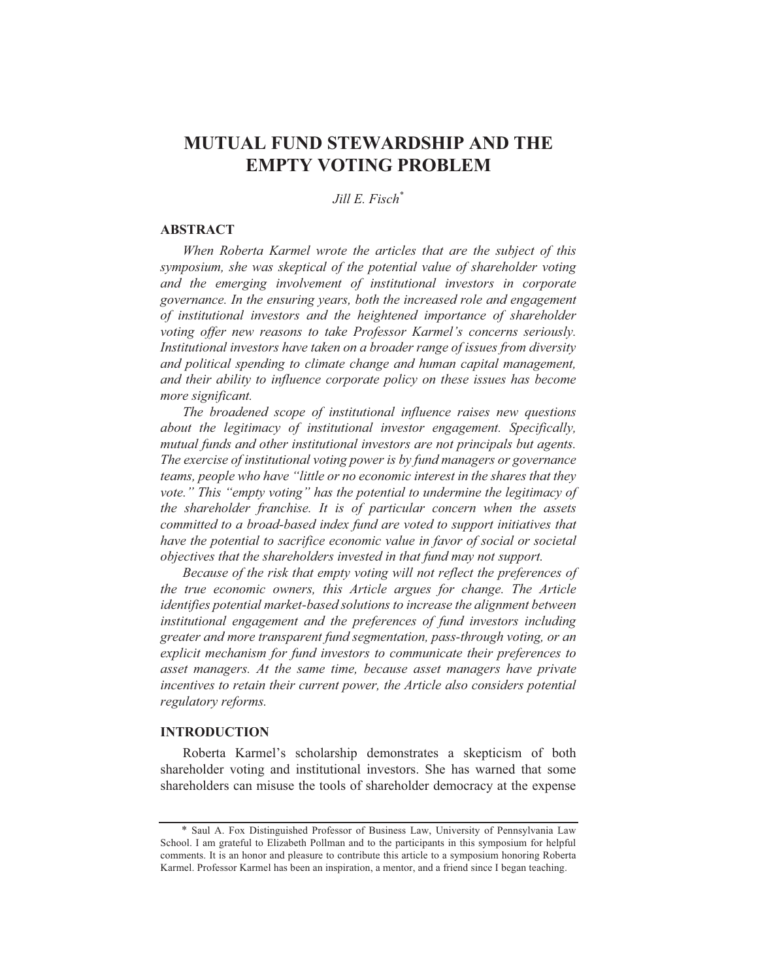# **MUTUAL FUND STEWARDSHIP AND THE EMPTY VOTING PROBLEM**

Jill E. Fisch\*

#### **ABSTRACT**

When Roberta Karmel wrote the articles that are the subject of this symposium, she was skeptical of the potential value of shareholder voting and the emerging involvement of institutional investors in corporate governance. In the ensuring years, both the increased role and engagement of institutional investors and the heightened importance of shareholder voting offer new reasons to take Professor Karmel's concerns seriously. Institutional investors have taken on a broader range of issues from diversity and political spending to climate change and human capital management, and their ability to influence corporate policy on these issues has become more significant.

The broadened scope of institutional influence raises new questions about the legitimacy of institutional investor engagement. Specifically, mutual funds and other institutional investors are not principals but agents. The exercise of institutional voting power is by fund managers or governance teams, people who have "little or no economic interest in the shares that they vote." This "empty voting" has the potential to undermine the legitimacy of the shareholder franchise. It is of particular concern when the assets committed to a broad-based index fund are voted to support initiatives that have the potential to sacrifice economic value in favor of social or societal objectives that the shareholders invested in that fund may not support.

Because of the risk that empty voting will not reflect the preferences of the true economic owners, this Article argues for change. The Article identifies potential market-based solutions to increase the alignment between institutional engagement and the preferences of fund investors including greater and more transparent fund segmentation, pass-through voting, or an explicit mechanism for fund investors to communicate their preferences to asset managers. At the same time, because asset managers have private incentives to retain their current power, the Article also considers potential regulatory reforms.

#### **INTRODUCTION**

Roberta Karmel's scholarship demonstrates a skepticism of both shareholder voting and institutional investors. She has warned that some shareholders can misuse the tools of shareholder democracy at the expense

<sup>\*</sup> Saul A. Fox Distinguished Professor of Business Law, University of Pennsylvania Law School. I am grateful to Elizabeth Pollman and to the participants in this symposium for helpful comments. It is an honor and pleasure to contribute this article to a symposium honoring Roberta Karmel. Professor Karmel has been an inspiration, a mentor, and a friend since I began teaching.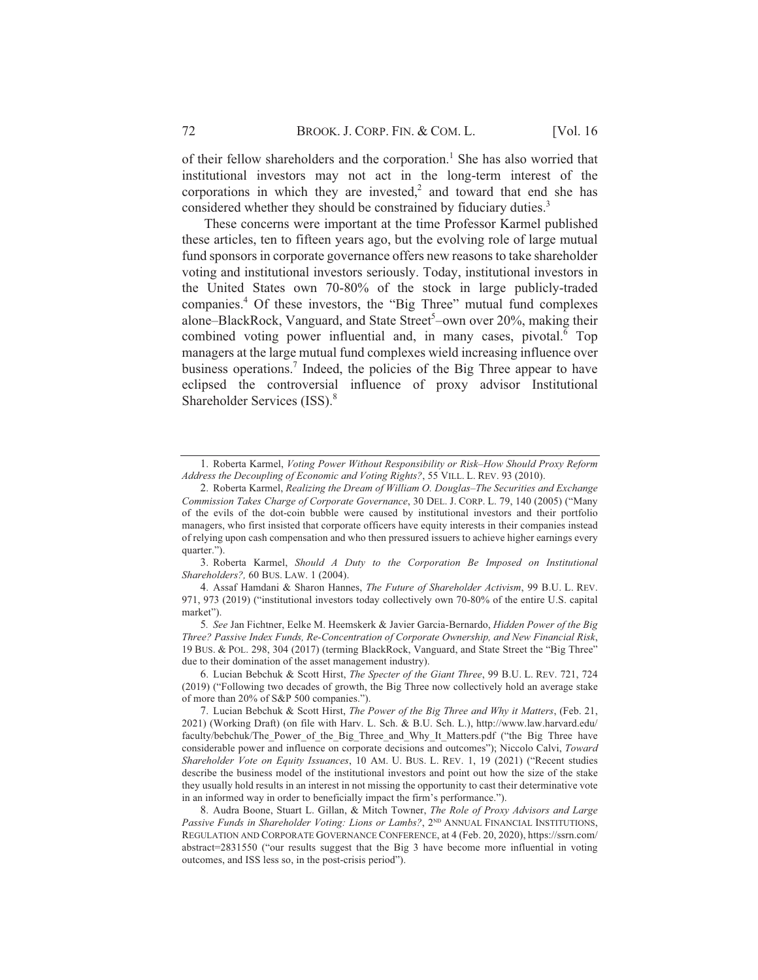of their fellow shareholders and the corporation.<sup>1</sup> She has also worried that institutional investors may not act in the long-term interest of the corporations in which they are invested,<sup>2</sup> and toward that end she has considered whether they should be constrained by fiduciary duties.<sup>3</sup>

These concerns were important at the time Professor Karmel published these articles, ten to fifteen years ago, but the evolving role of large mutual fund sponsors in corporate governance offers new reasons to take shareholder voting and institutional investors seriously. Today, institutional investors in the United States own 70-80% of the stock in large publicly-traded companies.<sup>4</sup> Of these investors, the "Big Three" mutual fund complexes alone-BlackRock, Vanguard, and State Street<sup>5</sup>-own over 20%, making their combined voting power influential and, in many cases, pivotal.<sup>6</sup> Top managers at the large mutual fund complexes wield increasing influence over business operations.<sup>7</sup> Indeed, the policies of the Big Three appear to have eclipsed the controversial influence of proxy advisor Institutional Shareholder Services (ISS).<sup>8</sup>

3. Roberta Karmel, Should A Duty to the Corporation Be Imposed on Institutional Shareholders?, 60 BUS. LAW. 1 (2004).

<sup>1.</sup> Roberta Karmel, Voting Power Without Responsibility or Risk-How Should Proxy Reform Address the Decoupling of Economic and Voting Rights?, 55 VILL. L. REV. 93 (2010).

<sup>2.</sup> Roberta Karmel, Realizing the Dream of William O. Douglas-The Securities and Exchange Commission Takes Charge of Corporate Governance, 30 DEL. J. CORP. L. 79, 140 (2005) ("Many of the evils of the dot-coin bubble were caused by institutional investors and their portfolio managers, who first insisted that corporate officers have equity interests in their companies instead of relying upon cash compensation and who then pressured issuers to achieve higher earnings every quarter.").

<sup>4.</sup> Assaf Hamdani & Sharon Hannes, The Future of Shareholder Activism, 99 B.U. L. REV. 971, 973 (2019) ("institutional investors today collectively own 70-80% of the entire U.S. capital market").

<sup>5.</sup> See Jan Fichtner, Eelke M. Heemskerk & Javier Garcia-Bernardo, Hidden Power of the Big Three? Passive Index Funds, Re-Concentration of Corporate Ownership, and New Financial Risk, 19 BUS. & POL. 298, 304 (2017) (terming BlackRock, Vanguard, and State Street the "Big Three" due to their domination of the asset management industry).

<sup>6.</sup> Lucian Bebchuk & Scott Hirst, The Specter of the Giant Three, 99 B.U. L. REV. 721, 724 (2019) ("Following two decades of growth, the Big Three now collectively hold an average stake of more than 20% of S&P 500 companies.").

<sup>7.</sup> Lucian Bebchuk & Scott Hirst, The Power of the Big Three and Why it Matters, (Feb. 21, 2021) (Working Draft) (on file with Harv. L. Sch. & B.U. Sch. L.), http://www.law.harvard.edu/ faculty/bebchuk/The\_Power\_of\_the\_Big\_Three\_and\_Why\_It\_Matters.pdf ("the Big Three have considerable power and influence on corporate decisions and outcomes"); Niccolo Calvi, Toward Shareholder Vote on Equity Issuances, 10 AM. U. BUS. L. REV. 1, 19 (2021) ("Recent studies describe the business model of the institutional investors and point out how the size of the stake they usually hold results in an interest in not missing the opportunity to cast their determinative vote in an informed way in order to beneficially impact the firm's performance.").

<sup>8.</sup> Audra Boone, Stuart L. Gillan, & Mitch Towner, The Role of Proxy Advisors and Large Passive Funds in Shareholder Voting: Lions or Lambs?, 2ND ANNUAL FINANCIAL INSTITUTIONS, REGULATION AND CORPORATE GOVERNANCE CONFERENCE, at 4 (Feb. 20, 2020), https://ssrn.com/ abstract=2831550 ("our results suggest that the Big 3 have become more influential in voting outcomes, and ISS less so, in the post-crisis period").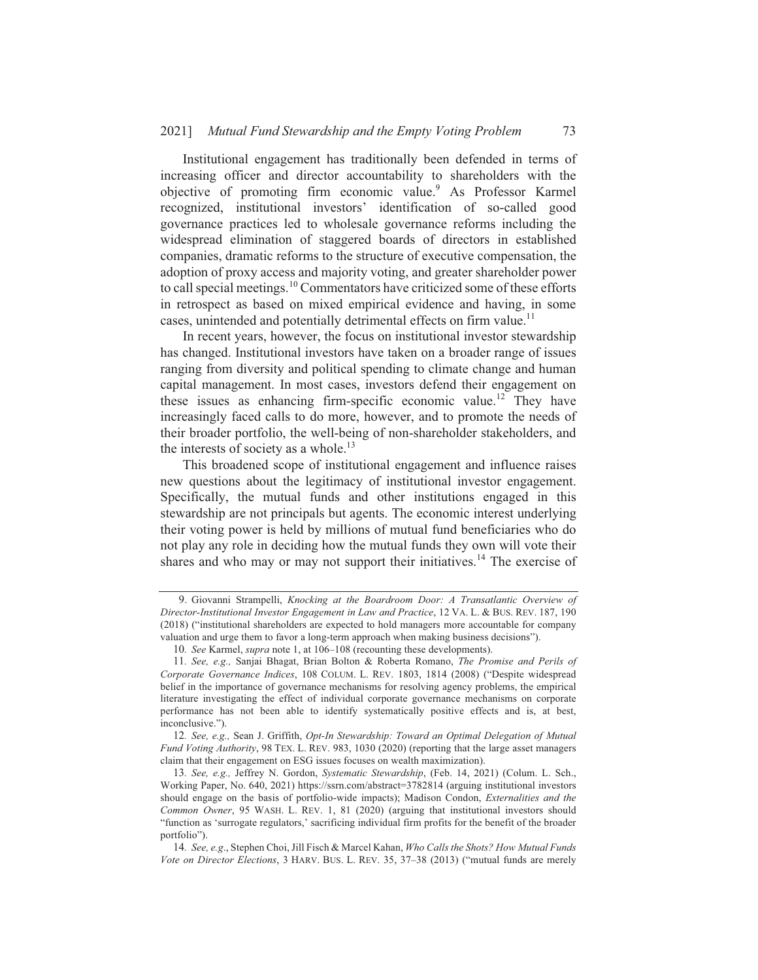73

Institutional engagement has traditionally been defended in terms of increasing officer and director accountability to shareholders with the objective of promoting firm economic value.<sup>9</sup> As Professor Karmel recognized, institutional investors' identification of so-called good governance practices led to wholesale governance reforms including the widespread elimination of staggered boards of directors in established companies, dramatic reforms to the structure of executive compensation, the adoption of proxy access and majority voting, and greater shareholder power to call special meetings.<sup>10</sup> Commentators have criticized some of these efforts in retrospect as based on mixed empirical evidence and having, in some cases, unintended and potentially detrimental effects on firm value.<sup>11</sup>

In recent years, however, the focus on institutional investor stewardship has changed. Institutional investors have taken on a broader range of issues ranging from diversity and political spending to climate change and human capital management. In most cases, investors defend their engagement on these issues as enhancing firm-specific economic value.<sup>12</sup> They have increasingly faced calls to do more, however, and to promote the needs of their broader portfolio, the well-being of non-shareholder stakeholders, and the interests of society as a whole.<sup>13</sup>

This broadened scope of institutional engagement and influence raises new questions about the legitimacy of institutional investor engagement. Specifically, the mutual funds and other institutions engaged in this stewardship are not principals but agents. The economic interest underlying their voting power is held by millions of mutual fund beneficiaries who do not play any role in deciding how the mutual funds they own will vote their shares and who may or may not support their initiatives.<sup>14</sup> The exercise of

<sup>9.</sup> Giovanni Strampelli, Knocking at the Boardroom Door: A Transatlantic Overview of Director-Institutional Investor Engagement in Law and Practice, 12 VA. L. & BUS. REV. 187, 190 (2018) ("institutional shareholders are expected to hold managers more accountable for company valuation and urge them to favor a long-term approach when making business decisions").

<sup>10.</sup> See Karmel, *supra* note 1, at 106–108 (recounting these developments).

<sup>11.</sup> See, e.g., Sanjai Bhagat, Brian Bolton & Roberta Romano, The Promise and Perils of Corporate Governance Indices, 108 COLUM. L. REV. 1803, 1814 (2008) ("Despite widespread belief in the importance of governance mechanisms for resolving agency problems, the empirical literature investigating the effect of individual corporate governance mechanisms on corporate performance has not been able to identify systematically positive effects and is, at best, inconclusive.").

<sup>12.</sup> See, e.g., Sean J. Griffith, Opt-In Stewardship: Toward an Optimal Delegation of Mutual Fund Voting Authority, 98 TEX. L. REV. 983, 1030 (2020) (reporting that the large asset managers claim that their engagement on ESG issues focuses on wealth maximization).

<sup>13.</sup> See, e.g., Jeffrey N. Gordon, Systematic Stewardship, (Feb. 14, 2021) (Colum. L. Sch., Working Paper, No. 640, 2021) https://ssrn.com/abstract=3782814 (arguing institutional investors should engage on the basis of portfolio-wide impacts); Madison Condon, Externalities and the Common Owner, 95 WASH. L. REV. 1, 81 (2020) (arguing that institutional investors should "function as 'surrogate regulators,' sacrificing individual firm profits for the benefit of the broader nortfolio").

<sup>14.</sup> See, e.g., Stephen Choi, Jill Fisch & Marcel Kahan, Who Calls the Shots? How Mutual Funds Vote on Director Elections, 3 HARV. BUS. L. REV. 35, 37-38 (2013) ("mutual funds are merely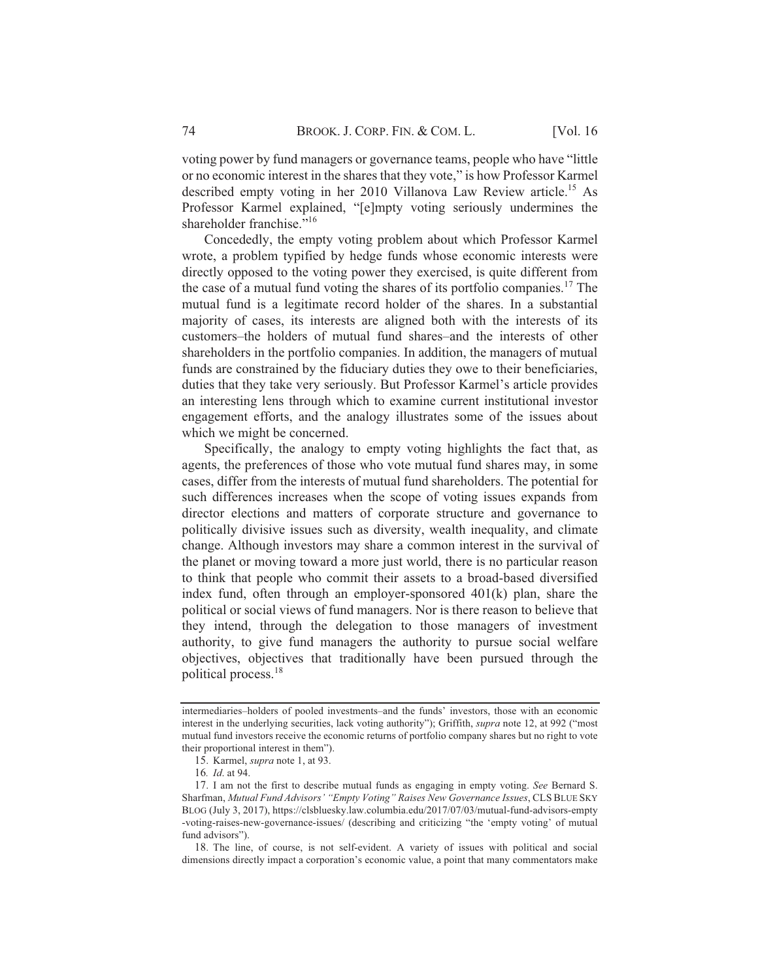voting power by fund managers or governance teams, people who have "little" or no economic interest in the shares that they vote," is how Professor Karmel described empty voting in her 2010 Villanova Law Review article.<sup>15</sup> As Professor Karmel explained, "[e]mpty voting seriously undermines the shareholder franchise."<sup>16</sup>

Concededly, the empty voting problem about which Professor Karmel wrote, a problem typified by hedge funds whose economic interests were directly opposed to the voting power they exercised, is quite different from the case of a mutual fund voting the shares of its portfolio companies.<sup>17</sup> The mutual fund is a legitimate record holder of the shares. In a substantial majority of cases, its interests are aligned both with the interests of its customers-the holders of mutual fund shares-and the interests of other shareholders in the portfolio companies. In addition, the managers of mutual funds are constrained by the fiduciary duties they owe to their beneficiaries, duties that they take very seriously. But Professor Karmel's article provides an interesting lens through which to examine current institutional investor engagement efforts, and the analogy illustrates some of the issues about which we might be concerned.

Specifically, the analogy to empty voting highlights the fact that, as agents, the preferences of those who vote mutual fund shares may, in some cases, differ from the interests of mutual fund shareholders. The potential for such differences increases when the scope of voting issues expands from director elections and matters of corporate structure and governance to politically divisive issues such as diversity, wealth inequality, and climate change. Although investors may share a common interest in the survival of the planet or moving toward a more just world, there is no particular reason to think that people who commit their assets to a broad-based diversified index fund, often through an employer-sponsored 401(k) plan, share the political or social views of fund managers. Nor is there reason to believe that they intend, through the delegation to those managers of investment authority, to give fund managers the authority to pursue social welfare objectives, objectives that traditionally have been pursued through the political process.<sup>18</sup>

18. The line, of course, is not self-evident. A variety of issues with political and social dimensions directly impact a corporation's economic value, a point that many commentators make

intermediaries-holders of pooled investments-and the funds' investors, those with an economic interest in the underlying securities, lack voting authority"); Griffith, *supra* note 12, at 992 ("most mutual fund investors receive the economic returns of portfolio company shares but no right to vote their proportional interest in them").

<sup>15.</sup> Karmel, *supra* note 1, at 93.

<sup>16.</sup> *Id.* at 94.

<sup>17.</sup> I am not the first to describe mutual funds as engaging in empty voting. See Bernard S. Sharfman, Mutual Fund Advisors' "Empty Voting" Raises New Governance Issues, CLS BLUE SKY BLOG (July 3, 2017), https://clsbluesky.law.columbia.edu/2017/07/03/mutual-fund-advisors-empty -voting-raises-new-governance-issues/ (describing and criticizing "the 'empty voting' of mutual fund advisors").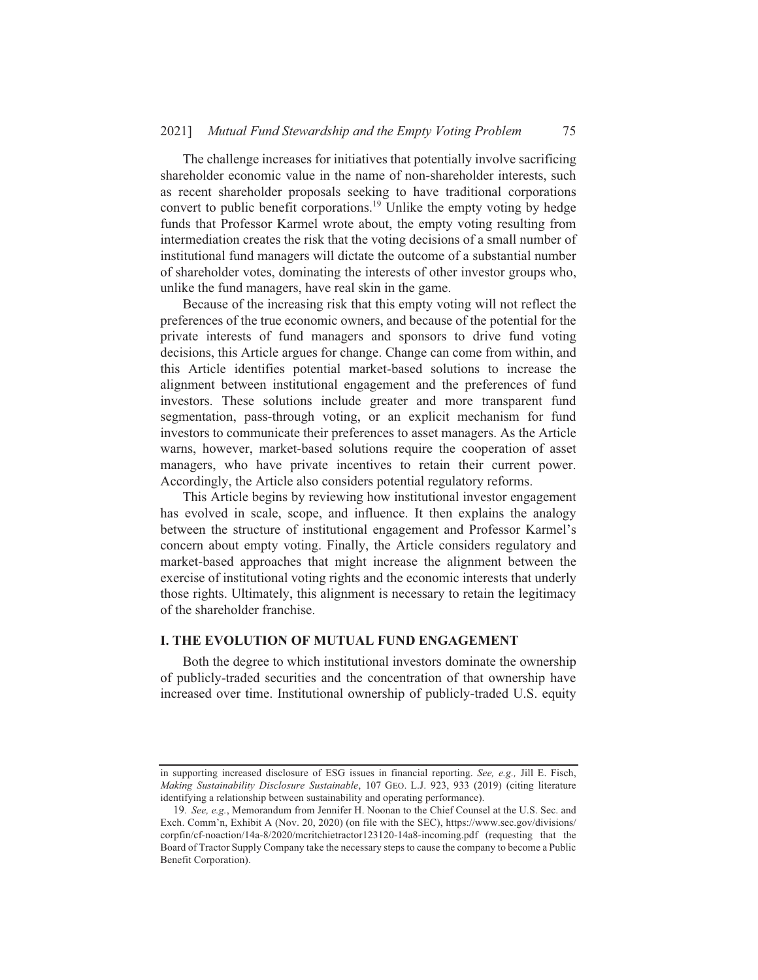The challenge increases for initiatives that potentially involve sacrificing shareholder economic value in the name of non-shareholder interests, such as recent shareholder proposals seeking to have traditional corporations convert to public benefit corporations.<sup>19</sup> Unlike the empty voting by hedge funds that Professor Karmel wrote about, the empty voting resulting from intermediation creates the risk that the voting decisions of a small number of institutional fund managers will dictate the outcome of a substantial number of shareholder votes, dominating the interests of other investor groups who, unlike the fund managers, have real skin in the game.

Because of the increasing risk that this empty voting will not reflect the preferences of the true economic owners, and because of the potential for the private interests of fund managers and sponsors to drive fund voting decisions, this Article argues for change. Change can come from within, and this Article identifies potential market-based solutions to increase the alignment between institutional engagement and the preferences of fund investors. These solutions include greater and more transparent fund segmentation, pass-through voting, or an explicit mechanism for fund investors to communicate their preferences to asset managers. As the Article warns, however, market-based solutions require the cooperation of asset managers, who have private incentives to retain their current power. Accordingly, the Article also considers potential regulatory reforms.

This Article begins by reviewing how institutional investor engagement has evolved in scale, scope, and influence. It then explains the analogy between the structure of institutional engagement and Professor Karmel's concern about empty voting. Finally, the Article considers regulatory and market-based approaches that might increase the alignment between the exercise of institutional voting rights and the economic interests that underly those rights. Ultimately, this alignment is necessary to retain the legitimacy of the shareholder franchise.

#### **I. THE EVOLUTION OF MUTUAL FUND ENGAGEMENT**

Both the degree to which institutional investors dominate the ownership of publicly-traded securities and the concentration of that ownership have increased over time. Institutional ownership of publicly-traded U.S. equity

in supporting increased disclosure of ESG issues in financial reporting. See, e.g., Jill E. Fisch, Making Sustainability Disclosure Sustainable, 107 GEO. L.J. 923, 933 (2019) (citing literature identifying a relationship between sustainability and operating performance).

<sup>19.</sup> See, e.g., Memorandum from Jennifer H. Noonan to the Chief Counsel at the U.S. Sec. and Exch. Comm'n, Exhibit A (Nov. 20, 2020) (on file with the SEC), https://www.sec.gov/divisions/ corpfin/cf-noaction/14a-8/2020/mcritchietractor123120-14a8-incoming.pdf (requesting that the Board of Tractor Supply Company take the necessary steps to cause the company to become a Public Benefit Corporation).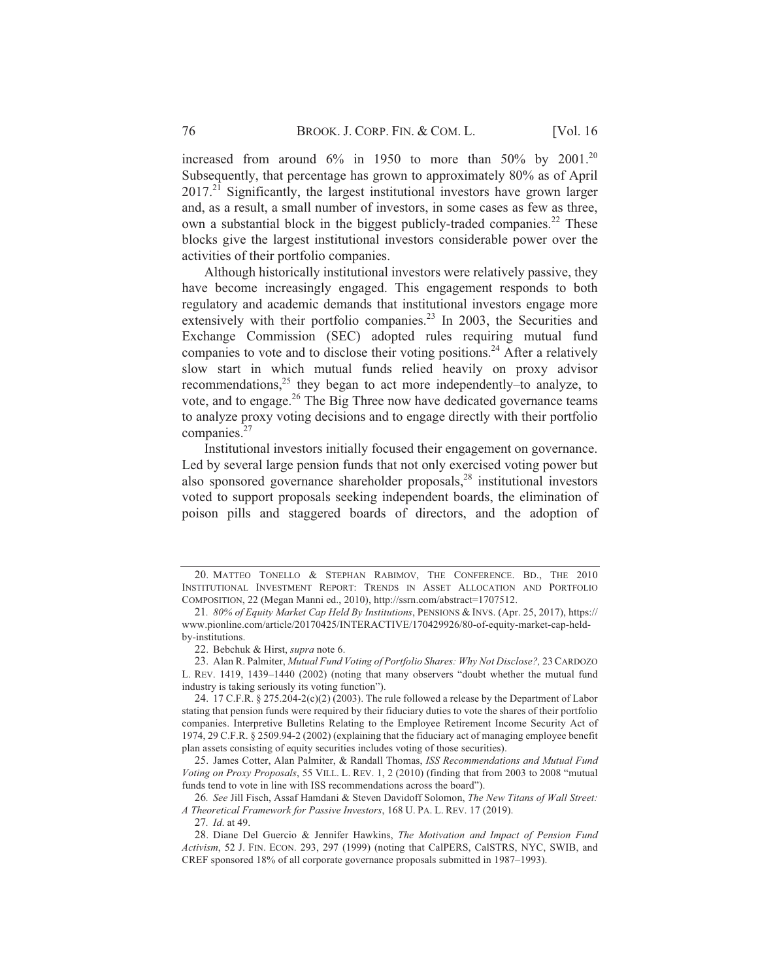increased from around 6% in 1950 to more than 50% by 2001.<sup>20</sup> Subsequently, that percentage has grown to approximately 80% as of April  $2017<sup>21</sup>$  Significantly, the largest institutional investors have grown larger and, as a result, a small number of investors, in some cases as few as three, own a substantial block in the biggest publicly-traded companies.<sup>22</sup> These blocks give the largest institutional investors considerable power over the activities of their portfolio companies.

Although historically institutional investors were relatively passive, they have become increasingly engaged. This engagement responds to both regulatory and academic demands that institutional investors engage more extensively with their portfolio companies.<sup>23</sup> In 2003, the Securities and Exchange Commission (SEC) adopted rules requiring mutual fund companies to vote and to disclose their voting positions.<sup>24</sup> After a relatively slow start in which mutual funds relied heavily on proxy advisor recommendations,  $2^5$  they began to act more independently-to analyze, to vote, and to engage.<sup>26</sup> The Big Three now have dedicated governance teams to analyze proxy voting decisions and to engage directly with their portfolio companies. $27$ 

Institutional investors initially focused their engagement on governance. Led by several large pension funds that not only exercised voting power but also sponsored governance shareholder proposals,<sup>28</sup> institutional investors voted to support proposals seeking independent boards, the elimination of poison pills and staggered boards of directors, and the adoption of

<sup>20.</sup> MATTEO TONELLO & STEPHAN RABIMOV, THE CONFERENCE. BD., THE 2010 INSTITUTIONAL INVESTMENT REPORT: TRENDS IN ASSET ALLOCATION AND PORTFOLIO COMPOSITION, 22 (Megan Manni ed., 2010), http://ssrn.com/abstract=1707512.

<sup>21. 80%</sup> of Equity Market Cap Held By Institutions, PENSIONS & INVS. (Apr. 25, 2017), https:// www.pionline.com/article/20170425/INTERACTIVE/170429926/80-of-equity-market-cap-heldby-institutions.

<sup>22.</sup> Bebchuk & Hirst, supra note 6.

<sup>23.</sup> Alan R. Palmiter, Mutual Fund Voting of Portfolio Shares: Why Not Disclose?, 23 CARDOZO L. REV. 1419, 1439-1440 (2002) (noting that many observers "doubt whether the mutual fund industry is taking seriously its voting function").

<sup>24. 17</sup> C.F.R.  $\S 275.204-2(c)(2)(2003)$ . The rule followed a release by the Department of Labor stating that pension funds were required by their fiduciary duties to vote the shares of their portfolio companies. Interpretive Bulletins Relating to the Employee Retirement Income Security Act of 1974, 29 C.F.R. § 2509.94-2 (2002) (explaining that the fiduciary act of managing employee benefit plan assets consisting of equity securities includes voting of those securities).

<sup>25.</sup> James Cotter, Alan Palmiter, & Randall Thomas, ISS Recommendations and Mutual Fund Voting on Proxy Proposals, 55 VILL. L. REV. 1, 2 (2010) (finding that from 2003 to 2008 "mutual funds tend to vote in line with ISS recommendations across the board").

<sup>26.</sup> See Jill Fisch, Assaf Hamdani & Steven Davidoff Solomon, The New Titans of Wall Street: A Theoretical Framework for Passive Investors, 168 U. PA. L. REV. 17 (2019).

<sup>27.</sup> Id. at 49.

<sup>28.</sup> Diane Del Guercio & Jennifer Hawkins, The Motivation and Impact of Pension Fund Activism, 52 J. FIN. ECON. 293, 297 (1999) (noting that CalPERS, CalSTRS, NYC, SWIB, and CREF sponsored 18% of all corporate governance proposals submitted in 1987–1993).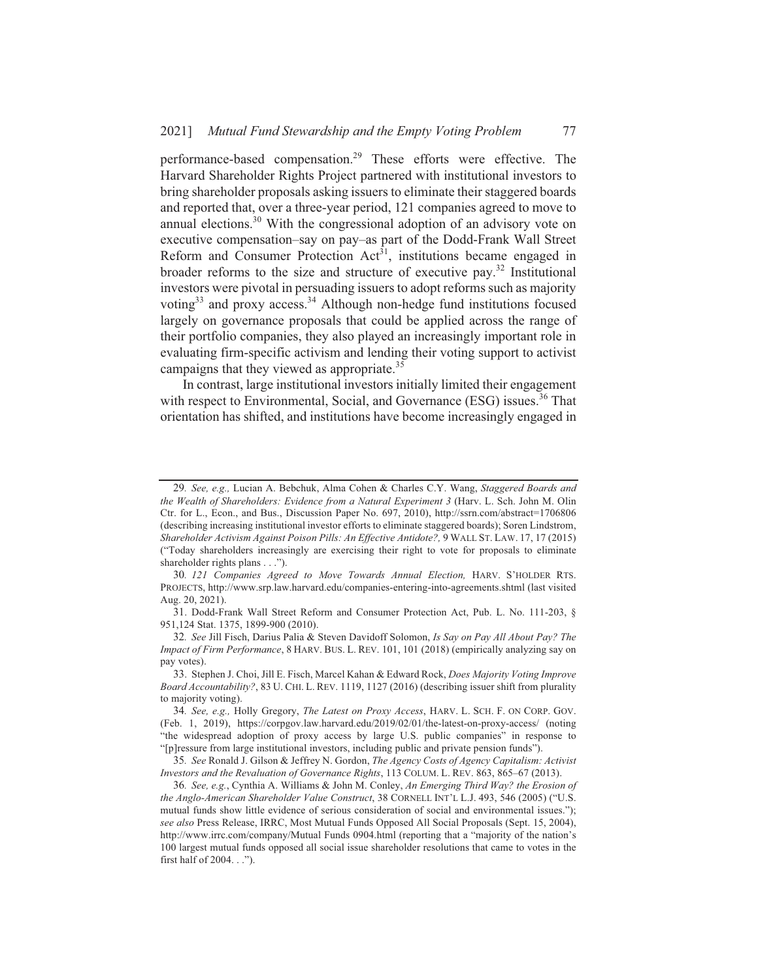77

performance-based compensation.<sup>29</sup> These efforts were effective. The Harvard Shareholder Rights Project partnered with institutional investors to bring shareholder proposals asking issuers to eliminate their staggered boards and reported that, over a three-year period, 121 companies agreed to move to annual elections.<sup>30</sup> With the congressional adoption of an advisory vote on executive compensation-say on pay-as part of the Dodd-Frank Wall Street Reform and Consumer Protection  $Act^{31}$ , institutions became engaged in broader reforms to the size and structure of executive pay.<sup>32</sup> Institutional investors were pivotal in persuading issuers to adopt reforms such as majority voting<sup>33</sup> and proxy access.<sup>34</sup> Although non-hedge fund institutions focused largely on governance proposals that could be applied across the range of their portfolio companies, they also played an increasingly important role in evaluating firm-specific activism and lending their voting support to activist campaigns that they viewed as appropriate.<sup>35</sup>

In contrast, large institutional investors initially limited their engagement with respect to Environmental, Social, and Governance (ESG) issues.<sup>36</sup> That orientation has shifted, and institutions have become increasingly engaged in

<sup>29.</sup> See, e.g., Lucian A. Bebchuk, Alma Cohen & Charles C.Y. Wang, Staggered Boards and the Wealth of Shareholders: Evidence from a Natural Experiment 3 (Harv. L. Sch. John M. Olin Ctr. for L., Econ., and Bus., Discussion Paper No. 697, 2010), http://ssrn.com/abstract=1706806 (describing increasing institutional investor efforts to eliminate staggered boards); Soren Lindstrom, Shareholder Activism Against Poison Pills: An Effective Antidote?, 9 WALL ST. LAW. 17, 17 (2015) ("Today shareholders increasingly are exercising their right to vote for proposals to eliminate shareholder rights plans . . .").

<sup>30. 121</sup> Companies Agreed to Move Towards Annual Election, HARV. S'HOLDER RTS. PROJECTS, http://www.srp.law.harvard.edu/companies-entering-into-agreements.shtml (last visited Aug. 20, 2021).

<sup>31.</sup> Dodd-Frank Wall Street Reform and Consumer Protection Act, Pub. L. No. 111-203, § 951,124 Stat. 1375, 1899-900 (2010).

<sup>32.</sup> See Jill Fisch, Darius Palia & Steven Davidoff Solomon, Is Say on Pay All About Pay? The Impact of Firm Performance, 8 HARV. BUS. L. REV. 101, 101 (2018) (empirically analyzing say on pay votes).

<sup>33.</sup> Stephen J. Choi, Jill E. Fisch, Marcel Kahan & Edward Rock, Does Majority Voting Improve Board Accountability?, 83 U. CHI. L. REV. 1119, 1127 (2016) (describing issuer shift from plurality to majority voting).

<sup>34.</sup> See, e.g., Holly Gregory, The Latest on Proxy Access, HARV. L. SCH. F. ON CORP. GOV. (Feb. 1, 2019), https://corpgov.law.harvard.edu/2019/02/01/the-latest-on-proxy-access/ (noting "the widespread adoption of proxy access by large U.S. public companies" in response to "[p] ressure from large institutional investors, including public and private pension funds").

<sup>35.</sup> See Ronald J. Gilson & Jeffrey N. Gordon, The Agency Costs of Agency Capitalism: Activist Investors and the Revaluation of Governance Rights, 113 COLUM. L. REV. 863, 865-67 (2013).

<sup>36.</sup> See, e.g., Cynthia A. Williams & John M. Conley, An Emerging Third Way? the Erosion of the Anglo-American Shareholder Value Construct, 38 CORNELL INT'L L.J. 493, 546 (2005) ("U.S. mutual funds show little evidence of serious consideration of social and environmental issues."); see also Press Release, IRRC, Most Mutual Funds Opposed All Social Proposals (Sept. 15, 2004), http://www.irrc.com/company/Mutual Funds 0904.html (reporting that a "majority of the nation's 100 largest mutual funds opposed all social issue shareholder resolutions that came to votes in the first half of 2004. . .").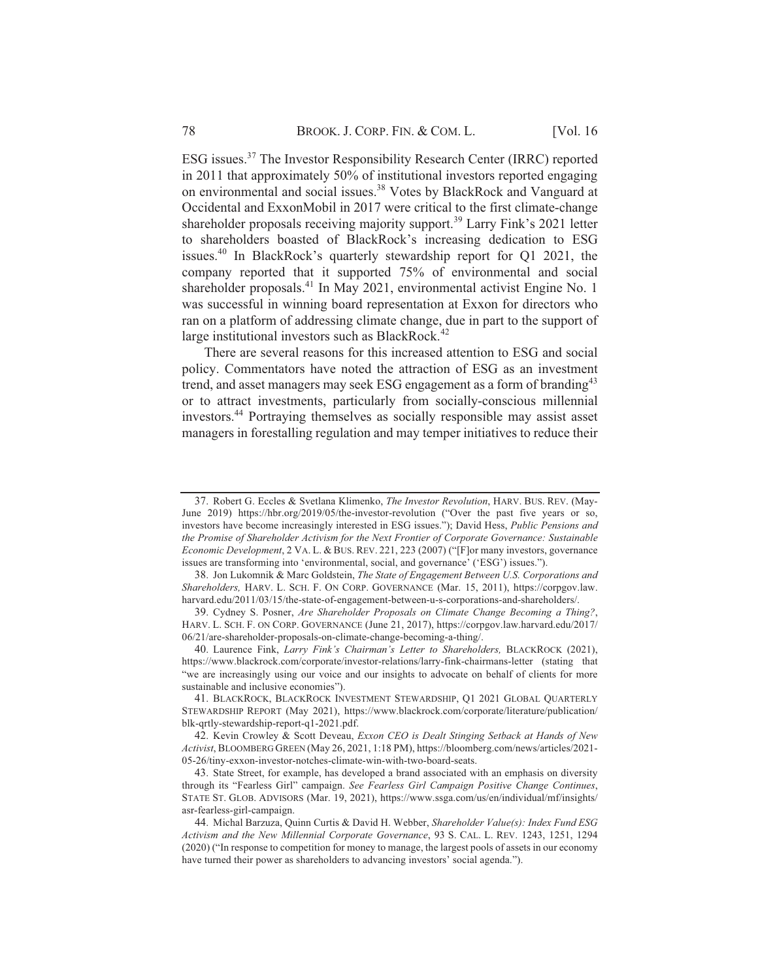ESG issues.<sup>37</sup> The Investor Responsibility Research Center (IRRC) reported in 2011 that approximately 50% of institutional investors reported engaging on environmental and social issues.<sup>38</sup> Votes by BlackRock and Vanguard at Occidental and ExxonMobil in 2017 were critical to the first climate-change shareholder proposals receiving majority support.<sup>39</sup> Larry Fink's 2021 letter to shareholders boasted of BlackRock's increasing dedication to ESG issues.<sup>40</sup> In BlackRock's quarterly stewardship report for Q1 2021, the company reported that it supported 75% of environmental and social shareholder proposals.<sup>41</sup> In May 2021, environmental activist Engine No. 1 was successful in winning board representation at Exxon for directors who ran on a platform of addressing climate change, due in part to the support of large institutional investors such as BlackRock.<sup>42</sup>

There are several reasons for this increased attention to ESG and social policy. Commentators have noted the attraction of ESG as an investment trend, and asset managers may seek ESG engagement as a form of branding<sup>43</sup> or to attract investments, particularly from socially-conscious millennial investors.<sup>44</sup> Portraying themselves as socially responsible may assist asset managers in forestalling regulation and may temper initiatives to reduce their

78

<sup>37.</sup> Robert G. Eccles & Svetlana Klimenko, *The Investor Revolution*, HARV. BUS. REV. (May-June 2019) https://hbr.org/2019/05/the-investor-revolution ("Over the past five years or so, investors have become increasingly interested in ESG issues."); David Hess, Public Pensions and the Promise of Shareholder Activism for the Next Frontier of Corporate Governance: Sustainable Economic Development, 2 VA. L. & BUS. REV. 221, 223 (2007) ("[F]or many investors, governance issues are transforming into 'environmental, social, and governance' ('ESG') issues.").

<sup>38.</sup> Jon Lukomnik & Marc Goldstein, The State of Engagement Between U.S. Corporations and Shareholders, HARV. L. SCH. F. ON CORP. GOVERNANCE (Mar. 15, 2011), https://corpgov.law. harvard.edu/2011/03/15/the-state-of-engagement-between-u-s-corporations-and-shareholders/.

<sup>39.</sup> Cydney S. Posner, Are Shareholder Proposals on Climate Change Becoming a Thing?, HARV. L. SCH. F. ON CORP. GOVERNANCE (June 21, 2017), https://corpgov.law.harvard.edu/2017/ 06/21/are-shareholder-proposals-on-climate-change-becoming-a-thing/.

<sup>40.</sup> Laurence Fink, Larry Fink's Chairman's Letter to Shareholders, BLACKROCK (2021), https://www.blackrock.com/corporate/investor-relations/larry-fink-chairmans-letter (stating that "we are increasingly using our voice and our insights to advocate on behalf of clients for more sustainable and inclusive economies").

<sup>41.</sup> BLACKROCK, BLACKROCK INVESTMENT STEWARDSHIP, Q1 2021 GLOBAL QUARTERLY STEWARDSHIP REPORT (May 2021), https://www.blackrock.com/corporate/literature/publication/ blk-qrtly-stewardship-report-q1-2021.pdf.

<sup>42.</sup> Kevin Crowley & Scott Deveau, Exxon CEO is Dealt Stinging Setback at Hands of New Activist, BLOOMBERG GREEN (May 26, 2021, 1:18 PM), https://bloomberg.com/news/articles/2021-05-26/tiny-exxon-investor-notches-climate-win-with-two-board-seats.

<sup>43.</sup> State Street, for example, has developed a brand associated with an emphasis on diversity through its "Fearless Girl" campaign. See Fearless Girl Campaign Positive Change Continues, STATE ST. GLOB. ADVISORS (Mar. 19, 2021), https://www.ssga.com/us/en/individual/mf/insights/ asr-fearless-girl-campaign.

<sup>44.</sup> Michal Barzuza, Quinn Curtis & David H. Webber, Shareholder Value(s): Index Fund ESG Activism and the New Millennial Corporate Governance, 93 S. CAL. L. REV. 1243, 1251, 1294 (2020) ("In response to competition for money to manage, the largest pools of assets in our economy have turned their power as shareholders to advancing investors' social agenda.").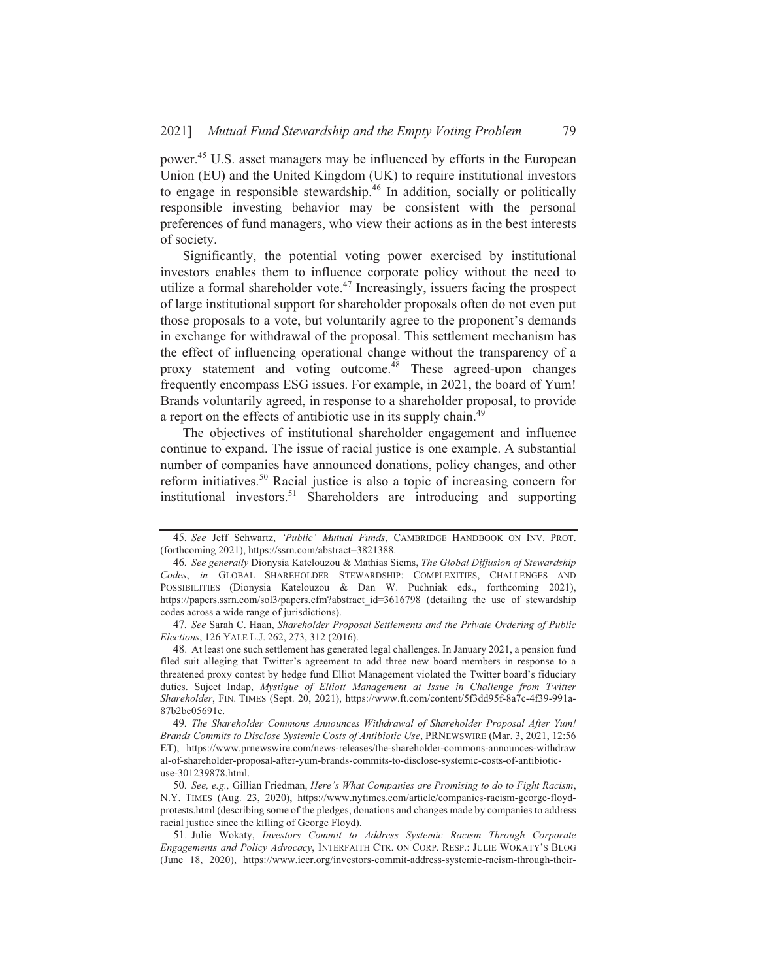power.<sup>45</sup> U.S. asset managers may be influenced by efforts in the European Union (EU) and the United Kingdom (UK) to require institutional investors to engage in responsible stewardship.<sup>46</sup> In addition, socially or politically responsible investing behavior may be consistent with the personal preferences of fund managers, who view their actions as in the best interests of society.

Significantly, the potential voting power exercised by institutional investors enables them to influence corporate policy without the need to utilize a formal shareholder vote.<sup>47</sup> Increasingly, issuers facing the prospect of large institutional support for shareholder proposals often do not even put those proposals to a vote, but voluntarily agree to the proponent's demands in exchange for withdrawal of the proposal. This settlement mechanism has the effect of influencing operational change without the transparency of a proxy statement and voting outcome.<sup>48</sup> These agreed-upon changes frequently encompass ESG issues. For example, in 2021, the board of Yum! Brands voluntarily agreed, in response to a shareholder proposal, to provide a report on the effects of antibiotic use in its supply chain.<sup>49</sup>

The objectives of institutional shareholder engagement and influence continue to expand. The issue of racial justice is one example. A substantial number of companies have announced donations, policy changes, and other reform initiatives.<sup>50</sup> Racial justice is also a topic of increasing concern for institutional investors.<sup>51</sup> Shareholders are introducing and supporting

<sup>45.</sup> See Jeff Schwartz, 'Public' Mutual Funds, CAMBRIDGE HANDBOOK ON INV. PROT. (forthcoming 2021), https://ssrn.com/abstract=3821388.

<sup>46.</sup> See generally Dionysia Katelouzou & Mathias Siems, The Global Diffusion of Stewardship Codes, in GLOBAL SHAREHOLDER STEWARDSHIP: COMPLEXITIES, CHALLENGES AND POSSIBILITIES (Dionysia Katelouzou & Dan W. Puchniak eds., forthcoming 2021), https://papers.ssrn.com/sol3/papers.cfm?abstract\_id=3616798\_(detailing\_the\_use\_of\_stewardship codes across a wide range of jurisdictions).

<sup>47.</sup> See Sarah C. Haan, Shareholder Proposal Settlements and the Private Ordering of Public Elections, 126 YALE L.J. 262, 273, 312 (2016).

<sup>48.</sup> At least one such settlement has generated legal challenges. In January 2021, a pension fund filed suit alleging that Twitter's agreement to add three new board members in response to a threatened proxy contest by hedge fund Elliot Management violated the Twitter board's fiduciary duties. Sujeet Indap, Mystique of Elliott Management at Issue in Challenge from Twitter Shareholder, FIN. TIMES (Sept. 20, 2021), https://www.ft.com/content/5f3dd95f-8a7c-4f39-991a-87b2bc05691c.

<sup>49.</sup> The Shareholder Commons Announces Withdrawal of Shareholder Proposal After Yum! Brands Commits to Disclose Systemic Costs of Antibiotic Use, PRNEWSWIRE (Mar. 3, 2021, 12:56 ET), https://www.prnewswire.com/news-releases/the-shareholder-commons-announces-withdraw al-of-shareholder-proposal-after-yum-brands-commits-to-disclose-systemic-costs-of-antibioticuse-301239878.html.

<sup>50.</sup> See, e.g., Gillian Friedman, Here's What Companies are Promising to do to Fight Racism, N.Y. TIMES (Aug. 23, 2020), https://www.nytimes.com/article/companies-racism-george-floydprotests.html (describing some of the pledges, donations and changes made by companies to address racial justice since the killing of George Floyd).

<sup>51.</sup> Julie Wokaty, Investors Commit to Address Systemic Racism Through Corporate Engagements and Policy Advocacy, INTERFAITH CTR. ON CORP. RESP.: JULIE WOKATY'S BLOG (June 18, 2020), https://www.iccr.org/investors-commit-address-systemic-racism-through-their-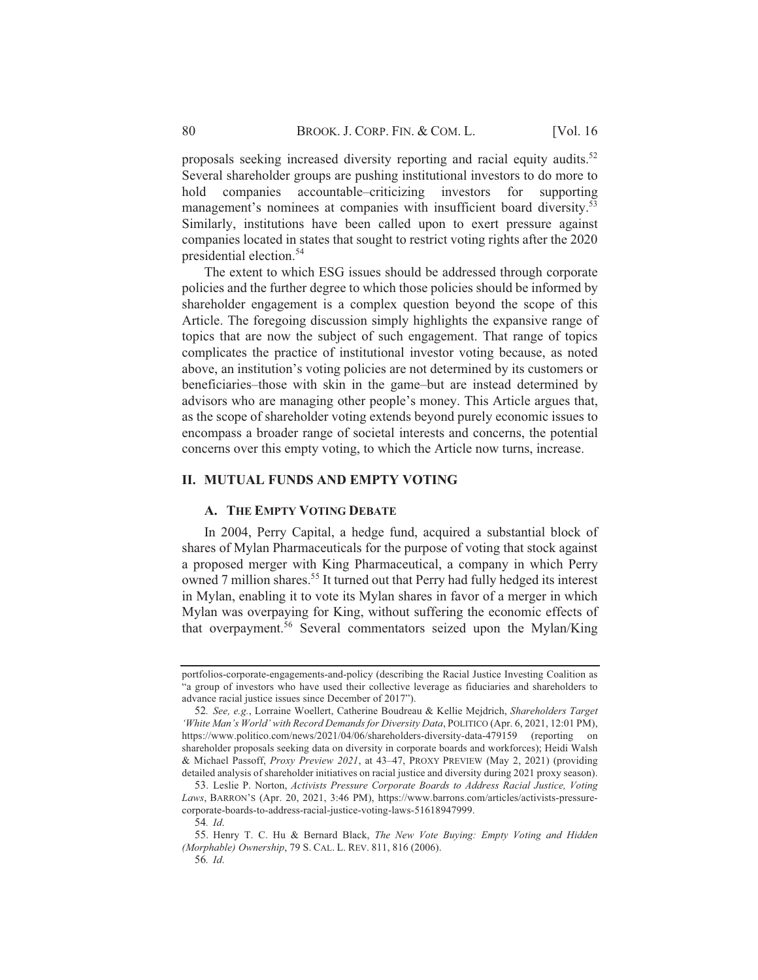proposals seeking increased diversity reporting and racial equity audits.<sup>52</sup> Several shareholder groups are pushing institutional investors to do more to companies accountable–criticizing investors for supporting hold management's nominees at companies with insufficient board diversity.<sup>53</sup> Similarly, institutions have been called upon to exert pressure against companies located in states that sought to restrict voting rights after the 2020 presidential election.<sup>54</sup>

The extent to which ESG issues should be addressed through corporate policies and the further degree to which those policies should be informed by shareholder engagement is a complex question beyond the scope of this Article. The foregoing discussion simply highlights the expansive range of topics that are now the subject of such engagement. That range of topics complicates the practice of institutional investor voting because, as noted above, an institution's voting policies are not determined by its customers or beneficiaries–those with skin in the game–but are instead determined by advisors who are managing other people's money. This Article argues that, as the scope of shareholder voting extends beyond purely economic issues to encompass a broader range of societal interests and concerns, the potential concerns over this empty voting, to which the Article now turns, increase.

#### **II. MUTUAL FUNDS AND EMPTY VOTING**

#### A. THE EMPTY VOTING DEBATE

In 2004, Perry Capital, a hedge fund, acquired a substantial block of shares of Mylan Pharmaceuticals for the purpose of voting that stock against a proposed merger with King Pharmaceutical, a company in which Perry owned 7 million shares.<sup>55</sup> It turned out that Perry had fully hedged its interest in Mylan, enabling it to vote its Mylan shares in favor of a merger in which Mylan was overpaying for King, without suffering the economic effects of that overpayment.<sup>56</sup> Several commentators seized upon the Mylan/King

portfolios-corporate-engagements-and-policy (describing the Racial Justice Investing Coalition as "a group of investors who have used their collective leverage as fiduciaries and shareholders to advance racial justice issues since December of 2017").

<sup>52.</sup> See, e.g., Lorraine Woellert, Catherine Boudreau & Kellie Mejdrich, Shareholders Target 'White Man's World' with Record Demands for Diversity Data, POLITICO (Apr. 6, 2021, 12:01 PM), https://www.politico.com/news/2021/04/06/shareholders-diversity-data-479159 (reporting on shareholder proposals seeking data on diversity in corporate boards and workforces); Heidi Walsh & Michael Passoff, Proxy Preview 2021, at 43-47, PROXY PREVIEW (May 2, 2021) (providing detailed analysis of shareholder initiatives on racial justice and diversity during 2021 proxy season).

<sup>53.</sup> Leslie P. Norton, Activists Pressure Corporate Boards to Address Racial Justice, Voting Laws, BARRON'S (Apr. 20, 2021, 3:46 PM), https://www.barrons.com/articles/activists-pressurecorporate-boards-to-address-racial-justice-voting-laws-51618947999.

<sup>54.</sup> Id.

<sup>55.</sup> Henry T. C. Hu & Bernard Black, The New Vote Buying: Empty Voting and Hidden (Morphable) Ownership, 79 S. CAL. L. REV. 811, 816 (2006).

<sup>56.</sup> Id.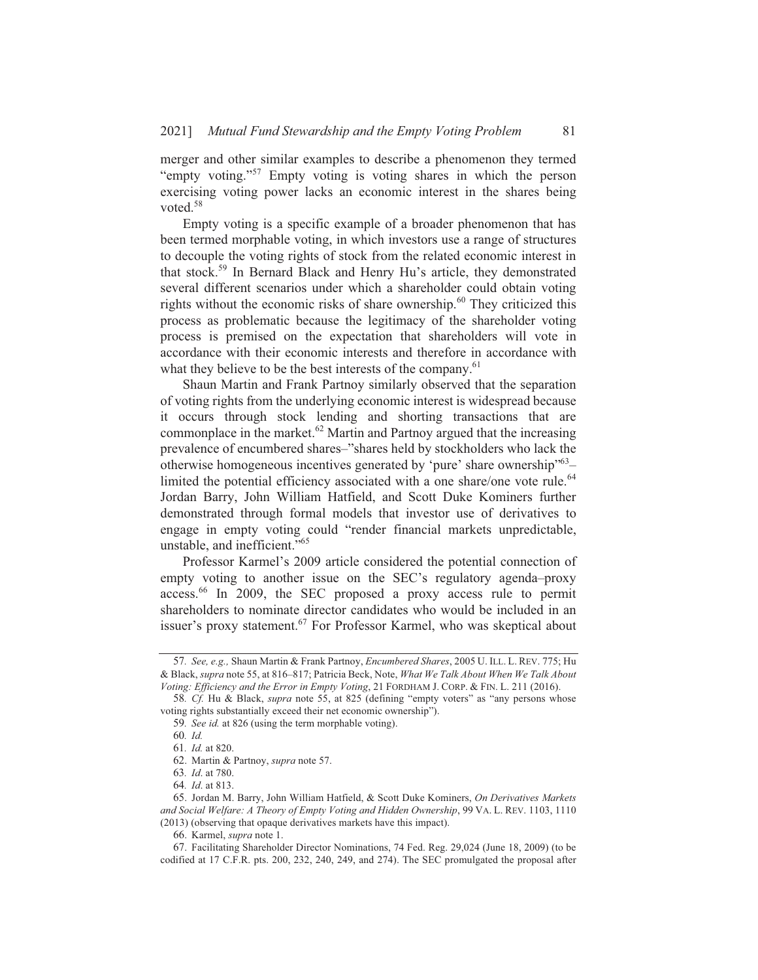merger and other similar examples to describe a phenomenon they termed "empty voting."<sup>57</sup> Empty voting is voting shares in which the person exercising voting power lacks an economic interest in the shares being voted. $58$ 

Empty voting is a specific example of a broader phenomenon that has been termed morphable voting, in which investors use a range of structures to decouple the voting rights of stock from the related economic interest in that stock.<sup>59</sup> In Bernard Black and Henry Hu's article, they demonstrated several different scenarios under which a shareholder could obtain voting rights without the economic risks of share ownership.<sup>60</sup> They criticized this process as problematic because the legitimacy of the shareholder voting process is premised on the expectation that shareholders will vote in accordance with their economic interests and therefore in accordance with what they believe to be the best interests of the company.<sup>61</sup>

Shaun Martin and Frank Partnoy similarly observed that the separation of voting rights from the underlying economic interest is widespread because it occurs through stock lending and shorting transactions that are commonplace in the market.<sup>62</sup> Martin and Partnoy argued that the increasing prevalence of encumbered shares-"shares held by stockholders who lack the otherwise homogeneous incentives generated by 'pure' share ownership"<sup>63</sup>limited the potential efficiency associated with a one share/one vote rule.<sup>64</sup> Jordan Barry, John William Hatfield, and Scott Duke Kominers further demonstrated through formal models that investor use of derivatives to engage in empty voting could "render financial markets unpredictable, unstable, and inefficient."<sup>65</sup>

Professor Karmel's 2009 article considered the potential connection of empty voting to another issue on the SEC's regulatory agenda-proxy access.<sup>66</sup> In 2009, the SEC proposed a proxy access rule to permit shareholders to nominate director candidates who would be included in an issuer's proxy statement.<sup>67</sup> For Professor Karmel, who was skeptical about

<sup>57.</sup> See, e.g., Shaun Martin & Frank Partnoy, Encumbered Shares, 2005 U. ILL. L. REV. 775; Hu & Black, supra note 55, at 816-817; Patricia Beck, Note, What We Talk About When We Talk About Voting: Efficiency and the Error in Empty Voting, 21 FORDHAM J. CORP. & FIN. L. 211 (2016).

<sup>58.</sup> Cf. Hu & Black, *supra* note 55, at 825 (defining "empty voters" as "any persons whose voting rights substantially exceed their net economic ownership").

<sup>59.</sup> See id. at 826 (using the term morphable voting).

<sup>60.</sup> Id.

<sup>61.</sup> Id. at 820.

<sup>62.</sup> Martin & Partnoy, supra note 57.

<sup>63.</sup> *Id.* at 780.

<sup>64.</sup> *Id.* at 813.

<sup>65.</sup> Jordan M. Barry, John William Hatfield, & Scott Duke Kominers, On Derivatives Markets and Social Welfare: A Theory of Empty Voting and Hidden Ownership, 99 VA. L. REV. 1103, 1110 (2013) (observing that opaque derivatives markets have this impact).

<sup>66.</sup> Karmel, supra note 1.

<sup>67.</sup> Facilitating Shareholder Director Nominations, 74 Fed. Reg. 29,024 (June 18, 2009) (to be codified at 17 C.F.R. pts. 200, 232, 240, 249, and 274). The SEC promulgated the proposal after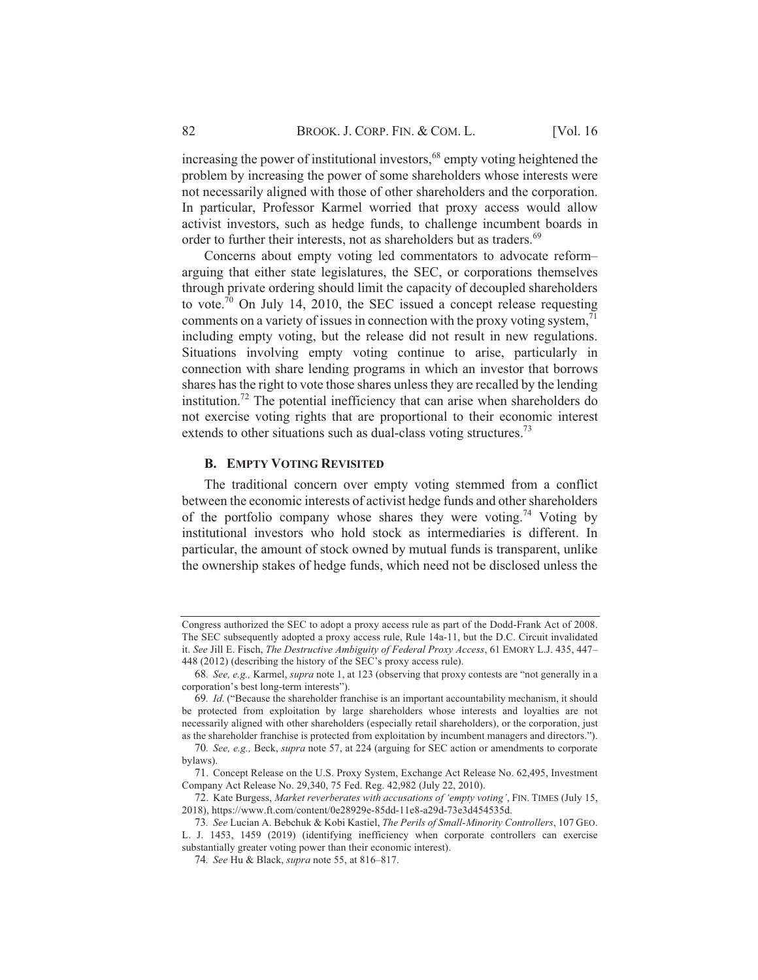increasing the power of institutional investors,<sup>68</sup> empty voting heightened the problem by increasing the power of some shareholders whose interests were not necessarily aligned with those of other shareholders and the corporation. In particular, Professor Karmel worried that proxy access would allow activist investors, such as hedge funds, to challenge incumbent boards in order to further their interests, not as shareholders but as traders.<sup>69</sup>

Concerns about empty voting led commentators to advocate reformarguing that either state legislatures, the SEC, or corporations themselves through private ordering should limit the capacity of decoupled shareholders to vote.<sup>70</sup> On July 14, 2010, the SEC issued a concept release requesting comments on a variety of issues in connection with the proxy voting system,  $\frac{1}{2}$ including empty voting, but the release did not result in new regulations. Situations involving empty voting continue to arise, particularly in connection with share lending programs in which an investor that borrows shares has the right to vote those shares unless they are recalled by the lending institution.<sup>72</sup> The potential inefficiency that can arise when shareholders do not exercise voting rights that are proportional to their economic interest extends to other situations such as dual-class voting structures.<sup>73</sup>

### **B. EMPTY VOTING REVISITED**

The traditional concern over empty voting stemmed from a conflict between the economic interests of activist hedge funds and other shareholders of the portfolio company whose shares they were voting.<sup>74</sup> Voting by institutional investors who hold stock as intermediaries is different. In particular, the amount of stock owned by mutual funds is transparent, unlike the ownership stakes of hedge funds, which need not be disclosed unless the

Congress authorized the SEC to adopt a proxy access rule as part of the Dodd-Frank Act of 2008. The SEC subsequently adopted a proxy access rule, Rule 14a-11, but the D.C. Circuit invalidated it. See Jill E. Fisch, The Destructive Ambiguity of Federal Proxy Access, 61 EMORY L.J. 435, 447-448 (2012) (describing the history of the SEC's proxy access rule).

<sup>68.</sup> See, e.g., Karmel, supra note 1, at 123 (observing that proxy contests are "not generally in a corporation's best long-term interests").

<sup>69.</sup> Id. ("Because the shareholder franchise is an important accountability mechanism, it should be protected from exploitation by large shareholders whose interests and loyalties are not necessarily aligned with other shareholders (especially retail shareholders), or the corporation, just as the shareholder franchise is protected from exploitation by incumbent managers and directors.").

<sup>70.</sup> See, e.g., Beck, supra note 57, at 224 (arguing for SEC action or amendments to corporate bylaws).

<sup>71.</sup> Concept Release on the U.S. Proxy System, Exchange Act Release No. 62,495, Investment Company Act Release No. 29,340, 75 Fed. Reg. 42,982 (July 22, 2010).

<sup>72.</sup> Kate Burgess, Market reverberates with accusations of 'empty voting', FIN. TIMES (July 15, 2018), https://www.ft.com/content/0e28929e-85dd-11e8-a29d-73e3d454535d.

<sup>73.</sup> See Lucian A. Bebchuk & Kobi Kastiel, The Perils of Small-Minority Controllers, 107 GEO. L. J. 1453, 1459 (2019) (identifying inefficiency when corporate controllers can exercise substantially greater voting power than their economic interest).

<sup>74.</sup> See Hu & Black, supra note 55, at 816-817.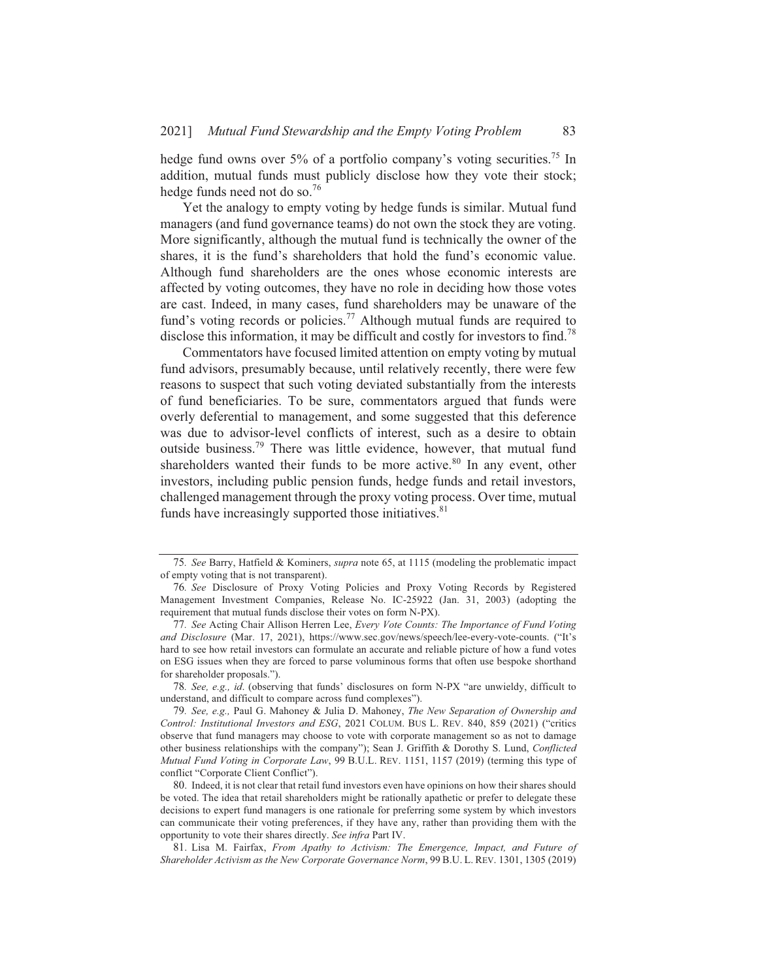hedge fund owns over 5% of a portfolio company's voting securities.<sup>75</sup> In addition, mutual funds must publicly disclose how they vote their stock; hedge funds need not do so.<sup>76</sup>

Yet the analogy to empty voting by hedge funds is similar. Mutual fund managers (and fund governance teams) do not own the stock they are voting. More significantly, although the mutual fund is technically the owner of the shares, it is the fund's shareholders that hold the fund's economic value. Although fund shareholders are the ones whose economic interests are affected by voting outcomes, they have no role in deciding how those votes are cast. Indeed, in many cases, fund shareholders may be unaware of the fund's voting records or policies.<sup>77</sup> Although mutual funds are required to disclose this information, it may be difficult and costly for investors to find.<sup>78</sup>

Commentators have focused limited attention on empty voting by mutual fund advisors, presumably because, until relatively recently, there were few reasons to suspect that such voting deviated substantially from the interests of fund beneficiaries. To be sure, commentators argued that funds were overly deferential to management, and some suggested that this deference was due to advisor-level conflicts of interest, such as a desire to obtain outside business.<sup>79</sup> There was little evidence, however, that mutual fund shareholders wanted their funds to be more active.<sup>80</sup> In any event, other investors, including public pension funds, hedge funds and retail investors, challenged management through the proxy voting process. Over time, mutual funds have increasingly supported those initiatives.<sup>81</sup>

78. See, e.g., id. (observing that funds' disclosures on form N-PX "are unwieldy, difficult to understand, and difficult to compare across fund complexes").

80. Indeed, it is not clear that retail fund investors even have opinions on how their shares should be voted. The idea that retail shareholders might be rationally apathetic or prefer to delegate these decisions to expert fund managers is one rationale for preferring some system by which investors can communicate their voting preferences, if they have any, rather than providing them with the opportunity to vote their shares directly. See infra Part IV.

81. Lisa M. Fairfax, From Apathy to Activism: The Emergence, Impact, and Future of Shareholder Activism as the New Corporate Governance Norm, 99 B.U. L. REV. 1301, 1305 (2019)

<sup>75.</sup> See Barry, Hatfield & Kominers, *supra* note 65, at 1115 (modeling the problematic impact of empty voting that is not transparent).

<sup>76.</sup> See Disclosure of Proxy Voting Policies and Proxy Voting Records by Registered Management Investment Companies, Release No. IC-25922 (Jan. 31, 2003) (adopting the requirement that mutual funds disclose their votes on form N-PX).

<sup>77.</sup> See Acting Chair Allison Herren Lee, Every Vote Counts: The Importance of Fund Voting and Disclosure (Mar. 17, 2021), https://www.sec.gov/news/speech/lee-every-vote-counts. ("It's hard to see how retail investors can formulate an accurate and reliable picture of how a fund votes on ESG issues when they are forced to parse voluminous forms that often use bespoke shorthand for shareholder proposals.").

<sup>79.</sup> See, e.g., Paul G. Mahoney & Julia D. Mahoney, The New Separation of Ownership and Control: Institutional Investors and ESG, 2021 COLUM. BUS L. REV. 840, 859 (2021) ("critics observe that fund managers may choose to vote with corporate management so as not to damage other business relationships with the company"); Sean J. Griffith & Dorothy S. Lund, Conflicted Mutual Fund Voting in Corporate Law, 99 B.U.L. REV. 1151, 1157 (2019) (terming this type of conflict "Corporate Client Conflict").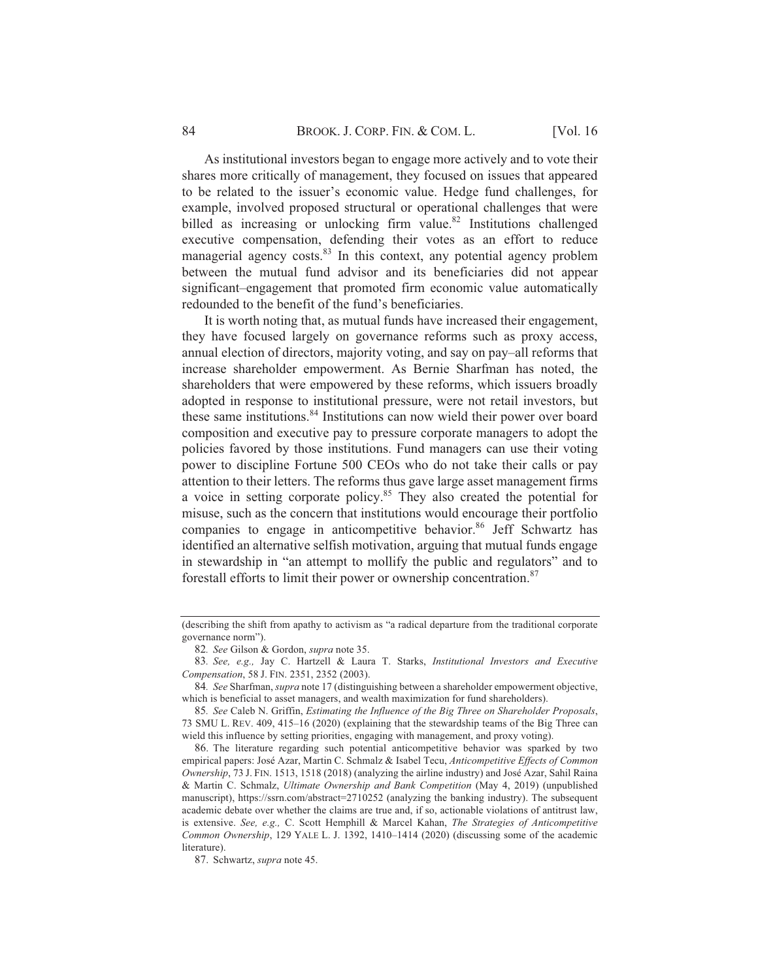As institutional investors began to engage more actively and to vote their shares more critically of management, they focused on issues that appeared to be related to the issuer's economic value. Hedge fund challenges, for example, involved proposed structural or operational challenges that were billed as increasing or unlocking firm value.<sup>82</sup> Institutions challenged executive compensation, defending their votes as an effort to reduce managerial agency costs.<sup>83</sup> In this context, any potential agency problem between the mutual fund advisor and its beneficiaries did not appear significant-engagement that promoted firm economic value automatically redounded to the benefit of the fund's beneficiaries.

It is worth noting that, as mutual funds have increased their engagement, they have focused largely on governance reforms such as proxy access, annual election of directors, majority voting, and say on pay–all reforms that increase shareholder empowerment. As Bernie Sharfman has noted, the shareholders that were empowered by these reforms, which issuers broadly adopted in response to institutional pressure, were not retail investors, but these same institutions.<sup>84</sup> Institutions can now wield their power over board composition and executive pay to pressure corporate managers to adopt the policies favored by those institutions. Fund managers can use their voting power to discipline Fortune 500 CEOs who do not take their calls or pay attention to their letters. The reforms thus gave large asset management firms a voice in setting corporate policy.<sup>85</sup> They also created the potential for misuse, such as the concern that institutions would encourage their portfolio companies to engage in anticompetitive behavior.<sup>86</sup> Jeff Schwartz has identified an alternative selfish motivation, arguing that mutual funds engage in stewardship in "an attempt to mollify the public and regulators" and to forestall efforts to limit their power or ownership concentration.<sup>87</sup>

<sup>(</sup>describing the shift from apathy to activism as "a radical departure from the traditional corporate governance norm").

<sup>82.</sup> See Gilson & Gordon, supra note 35.

<sup>83.</sup> See, e.g., Jay C. Hartzell & Laura T. Starks, Institutional Investors and Executive Compensation, 58 J. FIN. 2351, 2352 (2003).

<sup>84.</sup> See Sharfman, supra note 17 (distinguishing between a shareholder empowerment objective, which is beneficial to asset managers, and wealth maximization for fund shareholders).

<sup>85.</sup> See Caleb N. Griffin, Estimating the Influence of the Big Three on Shareholder Proposals, 73 SMU L. REV. 409, 415-16 (2020) (explaining that the stewardship teams of the Big Three can wield this influence by setting priorities, engaging with management, and proxy voting).

<sup>86.</sup> The literature regarding such potential anticompetitive behavior was sparked by two empirical papers: José Azar, Martin C. Schmalz & Isabel Tecu, Anticompetitive Effects of Common Ownership, 73 J. FIN. 1513, 1518 (2018) (analyzing the airline industry) and José Azar, Sahil Raina & Martin C. Schmalz, Ultimate Ownership and Bank Competition (May 4, 2019) (unpublished manuscript), https://ssrn.com/abstract=2710252 (analyzing the banking industry). The subsequent academic debate over whether the claims are true and, if so, actionable violations of antitrust law, is extensive. See, e.g., C. Scott Hemphill & Marcel Kahan, The Strategies of Anticompetitive Common Ownership, 129 YALE L. J. 1392, 1410-1414 (2020) (discussing some of the academic literature).

<sup>87.</sup> Schwartz, supra note 45.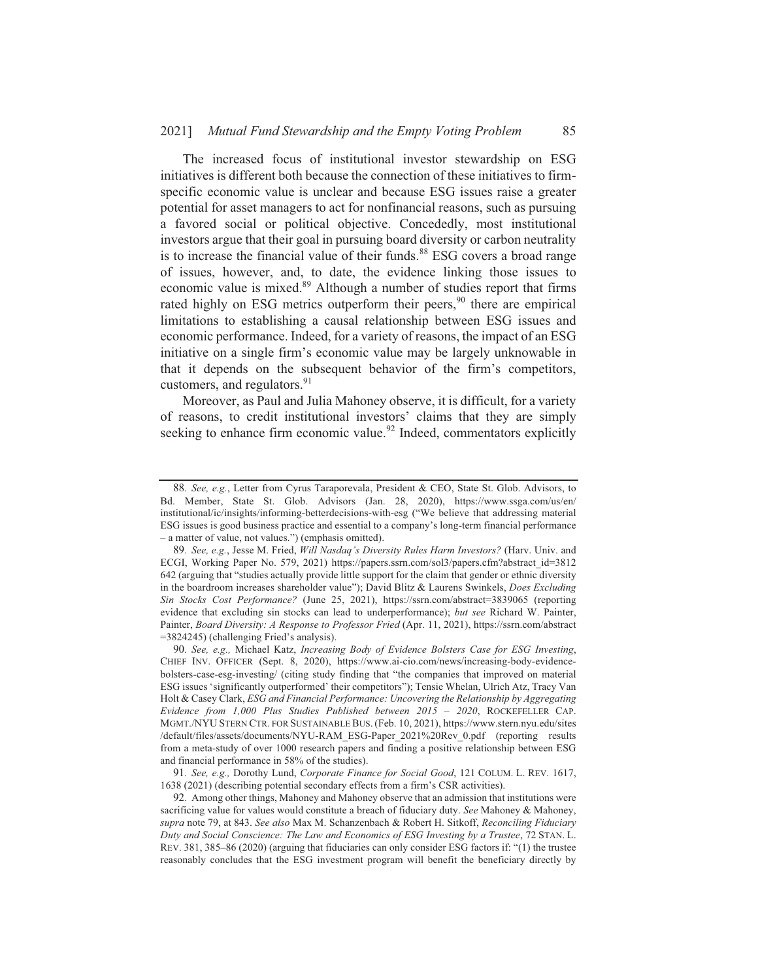The increased focus of institutional investor stewardship on ESG initiatives is different both because the connection of these initiatives to firmspecific economic value is unclear and because ESG issues raise a greater potential for asset managers to act for nonfinancial reasons, such as pursuing a favored social or political objective. Concededly, most institutional investors argue that their goal in pursuing board diversity or carbon neutrality is to increase the financial value of their funds.<sup>88</sup> ESG covers a broad range of issues, however, and, to date, the evidence linking those issues to economic value is mixed.<sup>89</sup> Although a number of studies report that firms rated highly on ESG metrics outperform their peers,<sup>90</sup> there are empirical limitations to establishing a causal relationship between ESG issues and economic performance. Indeed, for a variety of reasons, the impact of an ESG initiative on a single firm's economic value may be largely unknowable in that it depends on the subsequent behavior of the firm's competitors, customers, and regulators.<sup>91</sup>

Moreover, as Paul and Julia Mahoney observe, it is difficult, for a variety of reasons, to credit institutional investors' claims that they are simply seeking to enhance firm economic value.<sup>92</sup> Indeed, commentators explicitly

<sup>88.</sup> See, e.g., Letter from Cyrus Taraporevala, President & CEO, State St. Glob. Advisors, to Bd. Member, State St. Glob. Advisors (Jan. 28, 2020), https://www.ssga.com/us/en/ institutional/ic/insights/informing-betterdecisions-with-esg ("We believe that addressing material ESG issues is good business practice and essential to a company's long-term financial performance - a matter of value, not values.") (emphasis omitted).

<sup>89.</sup> See, e.g., Jesse M. Fried, Will Nasdaq's Diversity Rules Harm Investors? (Harv. Univ. and ECGI, Working Paper No. 579, 2021) https://papers.ssrn.com/sol3/papers.cfm?abstract id=3812 642 (arguing that "studies actually provide little support for the claim that gender or ethnic diversity in the boardroom increases shareholder value"); David Blitz & Laurens Swinkels, Does Excluding Sin Stocks Cost Performance? (June 25, 2021), https://ssrn.com/abstract=3839065 (reporting evidence that excluding sin stocks can lead to underperformance); but see Richard W. Painter, Painter, Board Diversity: A Response to Professor Fried (Apr. 11, 2021), https://ssrn.com/abstract =3824245) (challenging Fried's analysis).

<sup>90.</sup> See, e.g., Michael Katz, Increasing Body of Evidence Bolsters Case for ESG Investing, CHIEF INV. OFFICER (Sept. 8, 2020), https://www.ai-cio.com/news/increasing-body-evidencebolsters-case-esg-investing/ (citing study finding that "the companies that improved on material ESG issues 'significantly outperformed' their competitors"); Tensie Whelan, Ulrich Atz, Tracy Van Holt & Casey Clark, ESG and Financial Performance: Uncovering the Relationship by Aggregating Evidence from 1,000 Plus Studies Published between 2015 - 2020, ROCKEFELLER CAP. MGMT./NYU STERN CTR. FOR SUSTAINABLE BUS. (Feb. 10, 2021), https://www.stern.nyu.edu/sites /default/files/assets/documents/NYU-RAM\_ESG-Paper\_2021%20Rev\_0.pdf (reporting results from a meta-study of over 1000 research papers and finding a positive relationship between ESG and financial performance in 58% of the studies).

<sup>91.</sup> See, e.g., Dorothy Lund, Corporate Finance for Social Good, 121 COLUM. L. REV. 1617, 1638 (2021) (describing potential secondary effects from a firm's CSR activities).

<sup>92.</sup> Among other things, Mahoney and Mahoney observe that an admission that institutions were sacrificing value for values would constitute a breach of fiduciary duty. See Mahoney & Mahoney, supra note 79, at 843. See also Max M. Schanzenbach & Robert H. Sitkoff, Reconciling Fiduciary Duty and Social Conscience: The Law and Economics of ESG Investing by a Trustee, 72 STAN. L. REV. 381, 385–86 (2020) (arguing that fiduciaries can only consider ESG factors if: "(1) the trustee reasonably concludes that the ESG investment program will benefit the beneficiary directly by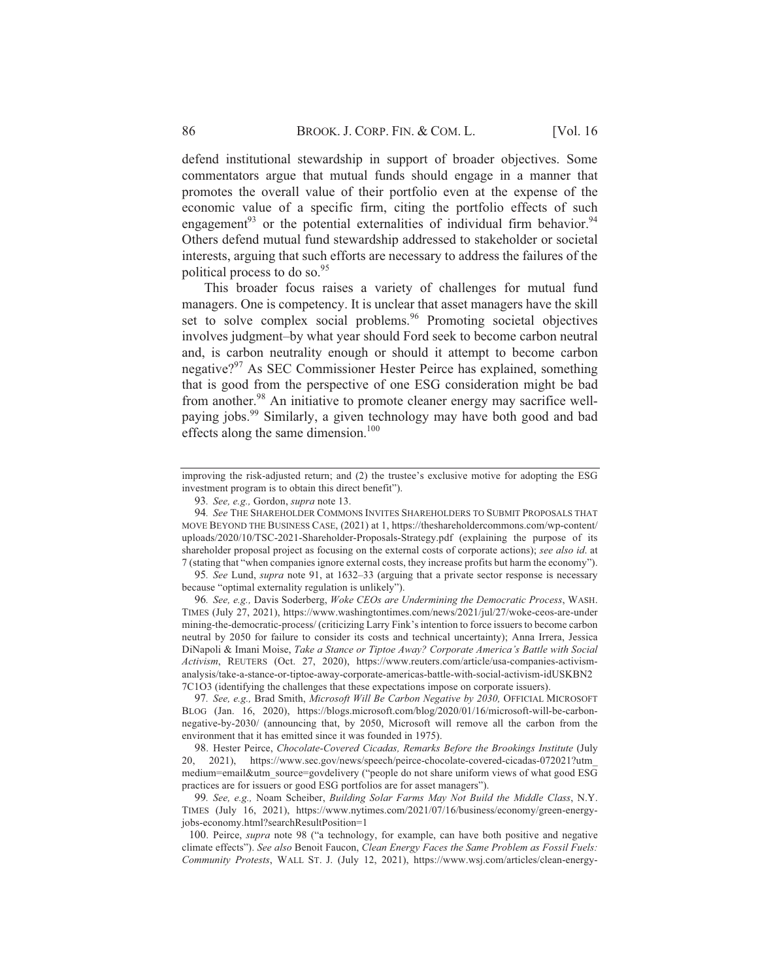defend institutional stewardship in support of broader objectives. Some commentators argue that mutual funds should engage in a manner that promotes the overall value of their portfolio even at the expense of the economic value of a specific firm, citing the portfolio effects of such engagement<sup>93</sup> or the potential externalities of individual firm behavior.<sup>94</sup> Others defend mutual fund stewardship addressed to stakeholder or societal interests, arguing that such efforts are necessary to address the failures of the political process to do so.<sup>95</sup>

This broader focus raises a variety of challenges for mutual fund managers. One is competency. It is unclear that asset managers have the skill set to solve complex social problems.<sup>96</sup> Promoting societal objectives involves judgment-by what year should Ford seek to become carbon neutral and, is carbon neutrality enough or should it attempt to become carbon negative?<sup>97</sup> As SEC Commissioner Hester Peirce has explained, something that is good from the perspective of one ESG consideration might be bad from another.<sup>98</sup> An initiative to promote cleaner energy may sacrifice wellpaying jobs.<sup>99</sup> Similarly, a given technology may have both good and bad effects along the same dimension.<sup>100</sup>

96. See, e.g., Davis Soderberg, Woke CEOs are Undermining the Democratic Process, WASH. TIMES (July 27, 2021), https://www.washingtontimes.com/news/2021/jul/27/woke-ceos-are-under mining-the-democratic-process/ (criticizing Larry Fink's intention to force issuers to become carbon neutral by 2050 for failure to consider its costs and technical uncertainty); Anna Irrera, Jessica DiNapoli & Imani Moise, Take a Stance or Tiptoe Away? Corporate America's Battle with Social Activism, REUTERS (Oct. 27, 2020), https://www.reuters.com/article/usa-companies-activismanalysis/take-a-stance-or-tiptoe-away-corporate-americas-battle-with-social-activism-idUSKBN2 7C1O3 (identifying the challenges that these expectations impose on corporate issuers).

97. See, e.g., Brad Smith, Microsoft Will Be Carbon Negative by 2030, OFFICIAL MICROSOFT BLOG (Jan. 16, 2020), https://blogs.microsoft.com/blog/2020/01/16/microsoft-will-be-carbonnegative-by-2030/ (announcing that, by 2050, Microsoft will remove all the carbon from the environment that it has emitted since it was founded in 1975).

98. Hester Peirce, Chocolate-Covered Cicadas, Remarks Before the Brookings Institute (July 20, 2021), https://www.sec.gov/news/speech/peirce-chocolate-covered-cicadas-072021?utm medium=email&utm\_source=govdelivery ("people do not share uniform views of what good ESG practices are for issuers or good ESG portfolios are for asset managers").

99. See, e.g., Noam Scheiber, Building Solar Farms May Not Build the Middle Class, N.Y. TIMES (July 16, 2021), https://www.nytimes.com/2021/07/16/business/economy/green-energyjobs-economy.html?searchResultPosition=1

100. Peirce, *supra* note 98 ("a technology, for example, can have both positive and negative climate effects"). See also Benoit Faucon, Clean Energy Faces the Same Problem as Fossil Fuels: Community Protests, WALL ST. J. (July 12, 2021), https://www.wsj.com/articles/clean-energy-

improving the risk-adjusted return; and (2) the trustee's exclusive motive for adopting the ESG investment program is to obtain this direct benefit").

<sup>93.</sup> See, e.g., Gordon, supra note 13.

<sup>94.</sup> See THE SHAREHOLDER COMMONS INVITES SHAREHOLDERS TO SUBMIT PROPOSALS THAT MOVE BEYOND THE BUSINESS CASE, (2021) at 1, https://theshareholdercommons.com/wp-content/ uploads/2020/10/TSC-2021-Shareholder-Proposals-Strategy.pdf (explaining the purpose of its shareholder proposal project as focusing on the external costs of corporate actions); see also id. at 7 (stating that "when companies ignore external costs, they increase profits but harm the economy").

<sup>95.</sup> See Lund, *supra* note 91, at 1632–33 (arguing that a private sector response is necessary because "optimal externality regulation is unlikely").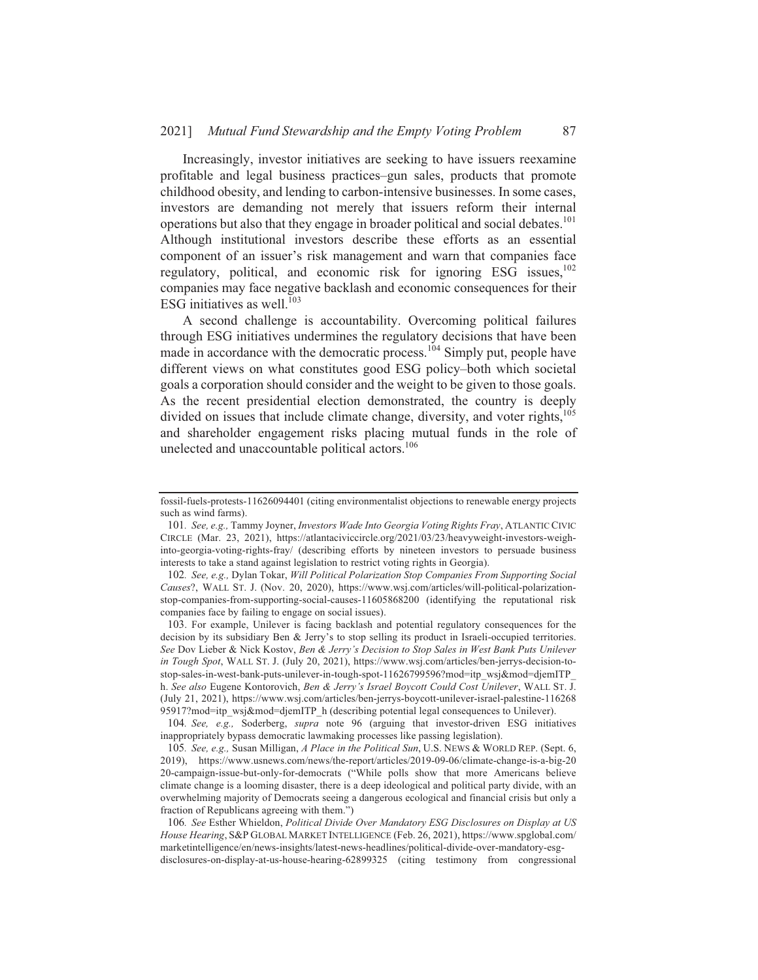Increasingly, investor initiatives are seeking to have issuers reexamine profitable and legal business practices-gun sales, products that promote childhood obesity, and lending to carbon-intensive businesses. In some cases, investors are demanding not merely that issuers reform their internal operations but also that they engage in broader political and social debates.<sup>101</sup> Although institutional investors describe these efforts as an essential component of an issuer's risk management and warn that companies face regulatory, political, and economic risk for ignoring ESG issues,<sup>102</sup> companies may face negative backlash and economic consequences for their ESG initiatives as well. $^{103}$ 

87

A second challenge is accountability. Overcoming political failures through ESG initiatives undermines the regulatory decisions that have been made in accordance with the democratic process.<sup>104</sup> Simply put, people have different views on what constitutes good ESG policy-both which societal goals a corporation should consider and the weight to be given to those goals. As the recent presidential election demonstrated, the country is deeply divided on issues that include climate change, diversity, and voter rights,<sup>105</sup> and shareholder engagement risks placing mutual funds in the role of unelected and unaccountable political actors.<sup>106</sup>

103. For example, Unilever is facing backlash and potential regulatory consequences for the decision by its subsidiary Ben & Jerry's to stop selling its product in Israeli-occupied territories. See Dov Lieber & Nick Kostov, Ben & Jerry's Decision to Stop Sales in West Bank Puts Unilever in Tough Spot, WALL ST. J. (July 20, 2021), https://www.wsj.com/articles/ben-jerrys-decision-tostop-sales-in-west-bank-puts-unilever-in-tough-spot-11626799596?mod=itp\_wsj&mod=djemITP h. See also Eugene Kontorovich, Ben & Jerry's Israel Boycott Could Cost Unilever, WALL ST. J. (July 21, 2021), https://www.wsj.com/articles/ben-jerrys-boycott-unilever-israel-palestine-116268 95917?mod=itp\_wsj&mod=djemITP\_h (describing potential legal consequences to Unilever).

104. See, e.g., Soderberg, supra note 96 (arguing that investor-driven ESG initiatives inappropriately bypass democratic lawmaking processes like passing legislation).

105. See, e.g., Susan Milligan, A Place in the Political Sun, U.S. NEWS & WORLD REP. (Sept. 6, 2019), https://www.usnews.com/news/the-report/articles/2019-09-06/climate-change-is-a-big-20 20-campaign-issue-but-only-for-democrats ("While polls show that more Americans believe climate change is a looming disaster, there is a deep ideological and political party divide, with an overwhelming majority of Democrats seeing a dangerous ecological and financial crisis but only a fraction of Republicans agreeing with them.")

106. See Esther Whieldon, Political Divide Over Mandatory ESG Disclosures on Display at US House Hearing, S&P GLOBAL MARKET INTELLIGENCE (Feb. 26, 2021), https://www.spglobal.com/ marketintelligence/en/news-insights/latest-news-headlines/political-divide-over-mandatory-esgdisclosures-on-display-at-us-house-hearing-62899325 (citing testimony from congressional

fossil-fuels-protests-11626094401 (citing environmentalist objections to renewable energy projects such as wind farms).

<sup>101.</sup> See, e.g., Tammy Joyner, Investors Wade Into Georgia Voting Rights Fray, ATLANTIC CIVIC CIRCLE (Mar. 23, 2021), https://atlantaciviccircle.org/2021/03/23/heavyweight-investors-weighinto-georgia-voting-rights-fray/ (describing efforts by nineteen investors to persuade business interests to take a stand against legislation to restrict voting rights in Georgia).

<sup>102.</sup> See, e.g., Dylan Tokar, Will Political Polarization Stop Companies From Supporting Social Causes?, WALL ST. J. (Nov. 20, 2020), https://www.wsj.com/articles/will-political-polarizationstop-companies-from-supporting-social-causes-11605868200 (identifying the reputational risk companies face by failing to engage on social issues).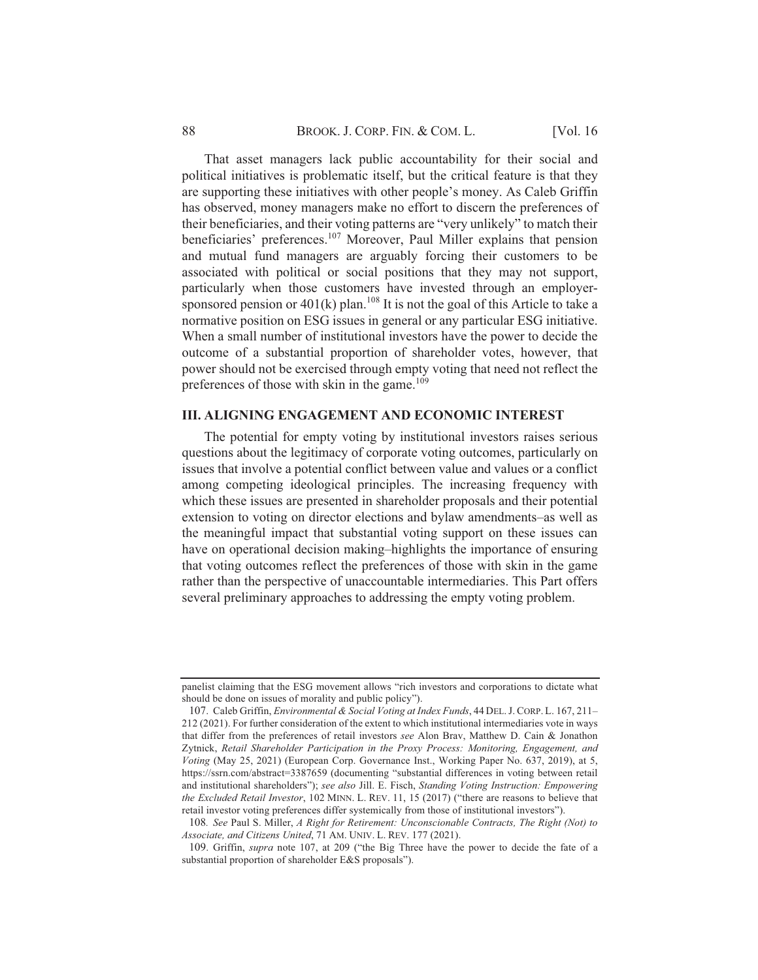#### BROOK. J. CORP. FIN. & COM. L.

That asset managers lack public accountability for their social and political initiatives is problematic itself, but the critical feature is that they are supporting these initiatives with other people's money. As Caleb Griffin has observed, money managers make no effort to discern the preferences of their beneficiaries, and their voting patterns are "very unlikely" to match their beneficiaries' preferences.<sup>107</sup> Moreover, Paul Miller explains that pension and mutual fund managers are arguably forcing their customers to be associated with political or social positions that they may not support, particularly when those customers have invested through an employersponsored pension or  $401(k)$  plan.<sup>108</sup> It is not the goal of this Article to take a normative position on ESG issues in general or any particular ESG initiative. When a small number of institutional investors have the power to decide the outcome of a substantial proportion of shareholder votes, however, that power should not be exercised through empty voting that need not reflect the preferences of those with skin in the game.<sup>109</sup>

### **III. ALIGNING ENGAGEMENT AND ECONOMIC INTEREST**

The potential for empty voting by institutional investors raises serious questions about the legitimacy of corporate voting outcomes, particularly on issues that involve a potential conflict between value and values or a conflict among competing ideological principles. The increasing frequency with which these issues are presented in shareholder proposals and their potential extension to voting on director elections and bylaw amendments-as well as the meaningful impact that substantial voting support on these issues can have on operational decision making–highlights the importance of ensuring that voting outcomes reflect the preferences of those with skin in the game rather than the perspective of unaccountable intermediaries. This Part offers several preliminary approaches to addressing the empty voting problem.

panelist claiming that the ESG movement allows "rich investors and corporations to dictate what should be done on issues of morality and public policy").

<sup>107.</sup> Caleb Griffin, *Environmental & Social Voting at Index Funds*, 44 DEL. J. CORP. L. 167, 211– 212 (2021). For further consideration of the extent to which institutional intermediaries vote in ways that differ from the preferences of retail investors see Alon Brav, Matthew D. Cain & Jonathon Zytnick, Retail Shareholder Participation in the Proxy Process: Monitoring, Engagement, and Voting (May 25, 2021) (European Corp. Governance Inst., Working Paper No. 637, 2019), at 5, https://ssrn.com/abstract=3387659 (documenting "substantial differences in voting between retail and institutional shareholders"); see also Jill. E. Fisch, Standing Voting Instruction: Empowering the Excluded Retail Investor, 102 MINN. L. REV. 11, 15 (2017) ("there are reasons to believe that retail investor voting preferences differ systemically from those of institutional investors").

<sup>108.</sup> See Paul S. Miller, A Right for Retirement: Unconscionable Contracts, The Right (Not) to Associate, and Citizens United, 71 AM. UNIV. L. REV. 177 (2021).

<sup>109.</sup> Griffin, supra note 107, at 209 ("the Big Three have the power to decide the fate of a substantial proportion of shareholder E&S proposals").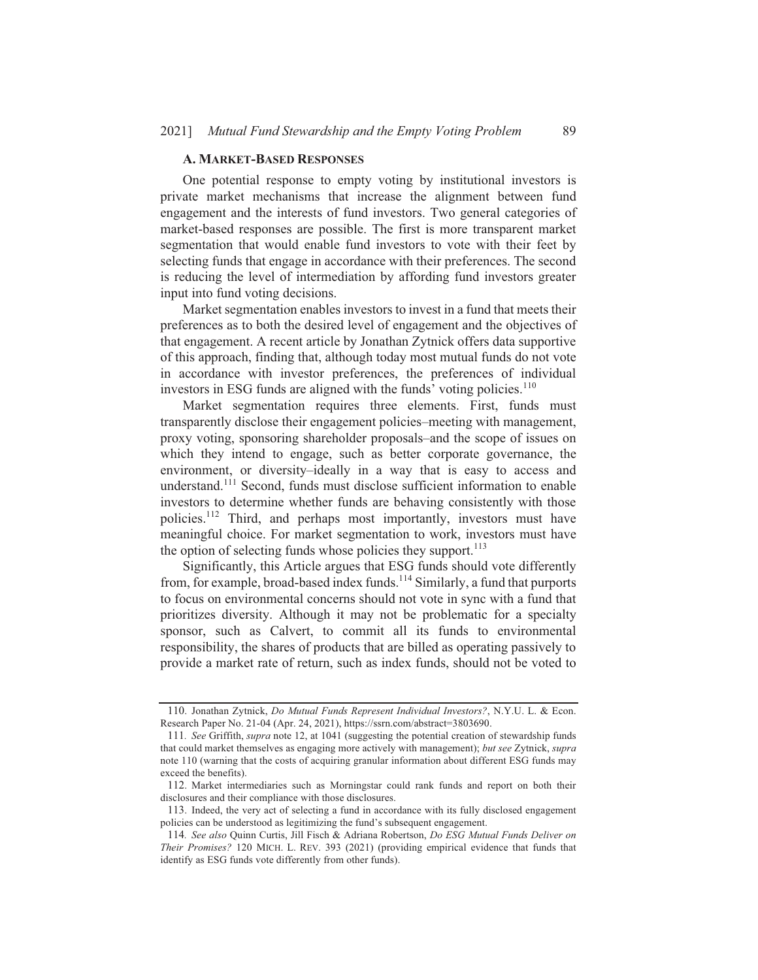#### **A. MARKET-BASED RESPONSES**

One potential response to empty voting by institutional investors is private market mechanisms that increase the alignment between fund engagement and the interests of fund investors. Two general categories of market-based responses are possible. The first is more transparent market segmentation that would enable fund investors to vote with their feet by selecting funds that engage in accordance with their preferences. The second is reducing the level of intermediation by affording fund investors greater input into fund voting decisions.

Market segmentation enables investors to invest in a fund that meets their preferences as to both the desired level of engagement and the objectives of that engagement. A recent article by Jonathan Zytnick offers data supportive of this approach, finding that, although today most mutual funds do not vote in accordance with investor preferences, the preferences of individual investors in ESG funds are aligned with the funds' voting policies.<sup>110</sup>

Market segmentation requires three elements. First, funds must transparently disclose their engagement policies–meeting with management, proxy voting, sponsoring shareholder proposals–and the scope of issues on which they intend to engage, such as better corporate governance, the environment, or diversity-ideally in a way that is easy to access and understand.<sup>111</sup> Second, funds must disclose sufficient information to enable investors to determine whether funds are behaving consistently with those policies.<sup>112</sup> Third, and perhaps most importantly, investors must have meaningful choice. For market segmentation to work, investors must have the option of selecting funds whose policies they support.<sup>113</sup>

Significantly, this Article argues that ESG funds should vote differently from, for example, broad-based index funds.<sup>114</sup> Similarly, a fund that purports to focus on environmental concerns should not vote in sync with a fund that prioritizes diversity. Although it may not be problematic for a specialty sponsor, such as Calvert, to commit all its funds to environmental responsibility, the shares of products that are billed as operating passively to provide a market rate of return, such as index funds, should not be voted to

<sup>110.</sup> Jonathan Zytnick, Do Mutual Funds Represent Individual Investors?, N.Y.U. L. & Econ. Research Paper No. 21-04 (Apr. 24, 2021), https://ssrn.com/abstract=3803690.

<sup>111.</sup> See Griffith, supra note 12, at 1041 (suggesting the potential creation of stewardship funds that could market themselves as engaging more actively with management); but see Zytnick, supra note 110 (warning that the costs of acquiring granular information about different ESG funds may exceed the benefits).

<sup>112.</sup> Market intermediaries such as Morningstar could rank funds and report on both their disclosures and their compliance with those disclosures.

<sup>113.</sup> Indeed, the very act of selecting a fund in accordance with its fully disclosed engagement policies can be understood as legitimizing the fund's subsequent engagement.

<sup>114.</sup> See also Quinn Curtis, Jill Fisch & Adriana Robertson, Do ESG Mutual Funds Deliver on Their Promises? 120 MICH. L. REV. 393 (2021) (providing empirical evidence that funds that identify as ESG funds vote differently from other funds).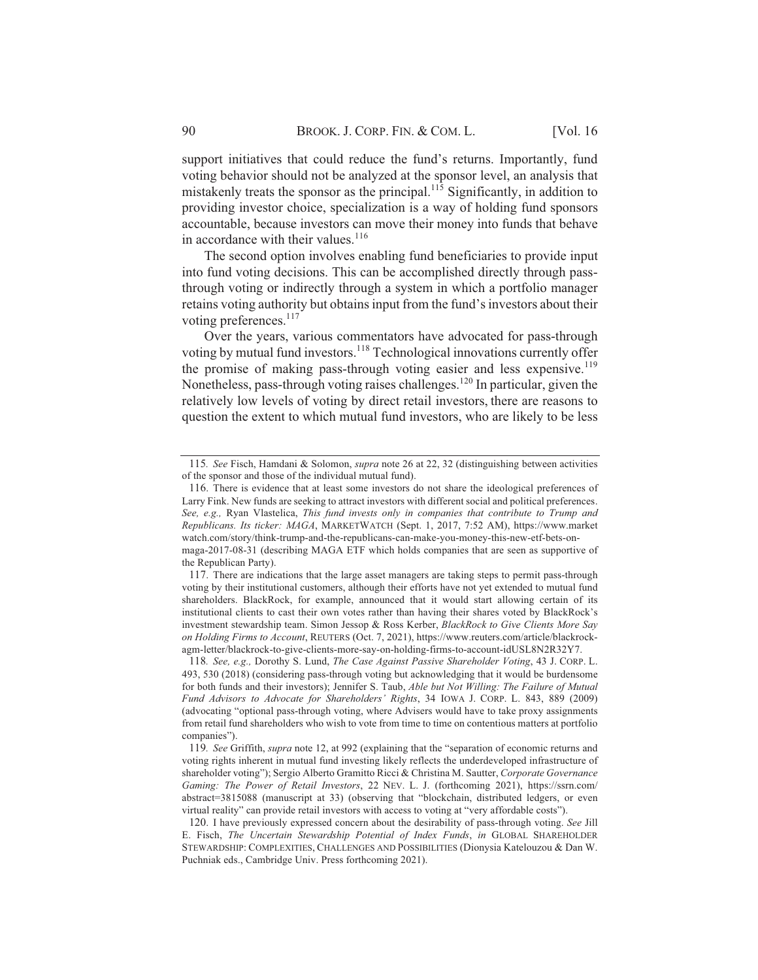**[Vol. 16** 

support initiatives that could reduce the fund's returns. Importantly, fund voting behavior should not be analyzed at the sponsor level, an analysis that mistakenly treats the sponsor as the principal.  $11\overline{5}$  Significantly, in addition to providing investor choice, specialization is a way of holding fund sponsors accountable, because investors can move their money into funds that behave in accordance with their values.<sup>116</sup>

The second option involves enabling fund beneficiaries to provide input into fund voting decisions. This can be accomplished directly through passthrough voting or indirectly through a system in which a portfolio manager retains voting authority but obtains input from the fund's investors about their voting preferences.<sup>117</sup>

Over the years, various commentators have advocated for pass-through voting by mutual fund investors.<sup>118</sup> Technological innovations currently offer the promise of making pass-through voting easier and less expensive.<sup>119</sup> Nonetheless, pass-through voting raises challenges.<sup>120</sup> In particular, given the relatively low levels of voting by direct retail investors, there are reasons to question the extent to which mutual fund investors, who are likely to be less

<sup>115.</sup> See Fisch, Hamdani & Solomon, *supra* note 26 at 22, 32 (distinguishing between activities of the sponsor and those of the individual mutual fund).

<sup>116.</sup> There is evidence that at least some investors do not share the ideological preferences of Larry Fink. New funds are seeking to attract investors with different social and political preferences. See, e.g., Ryan Vlastelica, This fund invests only in companies that contribute to Trump and Republicans. Its ticker: MAGA, MARKETWATCH (Sept. 1, 2017, 7:52 AM), https://www.market watch.com/story/think-trump-and-the-republicans-can-make-you-money-this-new-etf-bets-on-

maga-2017-08-31 (describing MAGA ETF which holds companies that are seen as supportive of the Republican Party).

<sup>117.</sup> There are indications that the large asset managers are taking steps to permit pass-through voting by their institutional customers, although their efforts have not yet extended to mutual fund shareholders. BlackRock, for example, announced that it would start allowing certain of its institutional clients to cast their own votes rather than having their shares voted by BlackRock's investment stewardship team. Simon Jessop & Ross Kerber, BlackRock to Give Clients More Say on Holding Firms to Account, REUTERS (Oct. 7, 2021), https://www.reuters.com/article/blackrockagm-letter/blackrock-to-give-clients-more-say-on-holding-firms-to-account-idUSL8N2R32Y7.

<sup>118.</sup> See, e.g., Dorothy S. Lund, The Case Against Passive Shareholder Voting, 43 J. CORP. L. 493, 530 (2018) (considering pass-through voting but acknowledging that it would be burdensome for both funds and their investors); Jennifer S. Taub, Able but Not Willing: The Failure of Mutual Fund Advisors to Advocate for Shareholders' Rights, 34 IOWA J. CORP. L. 843, 889 (2009) (advocating "optional pass-through voting, where Advisers would have to take proxy assignments from retail fund shareholders who wish to vote from time to time on contentious matters at portfolio companies").

<sup>119.</sup> See Griffith, *supra* note 12, at 992 (explaining that the "separation of economic returns and voting rights inherent in mutual fund investing likely reflects the underdeveloped infrastructure of shareholder voting"); Sergio Alberto Gramitto Ricci & Christina M. Sautter, Corporate Governance Gaming: The Power of Retail Investors, 22 NEV. L. J. (forthcoming 2021), https://ssrn.com/ abstract=3815088 (manuscript at 33) (observing that "blockchain, distributed ledgers, or even virtual reality" can provide retail investors with access to voting at "very affordable costs").

<sup>120.</sup> I have previously expressed concern about the desirability of pass-through voting. See Jill E. Fisch, The Uncertain Stewardship Potential of Index Funds, in GLOBAL SHAREHOLDER STEWARDSHIP: COMPLEXITIES, CHALLENGES AND POSSIBILITIES (Dionysia Katelouzou & Dan W. Puchniak eds., Cambridge Univ. Press forthcoming 2021).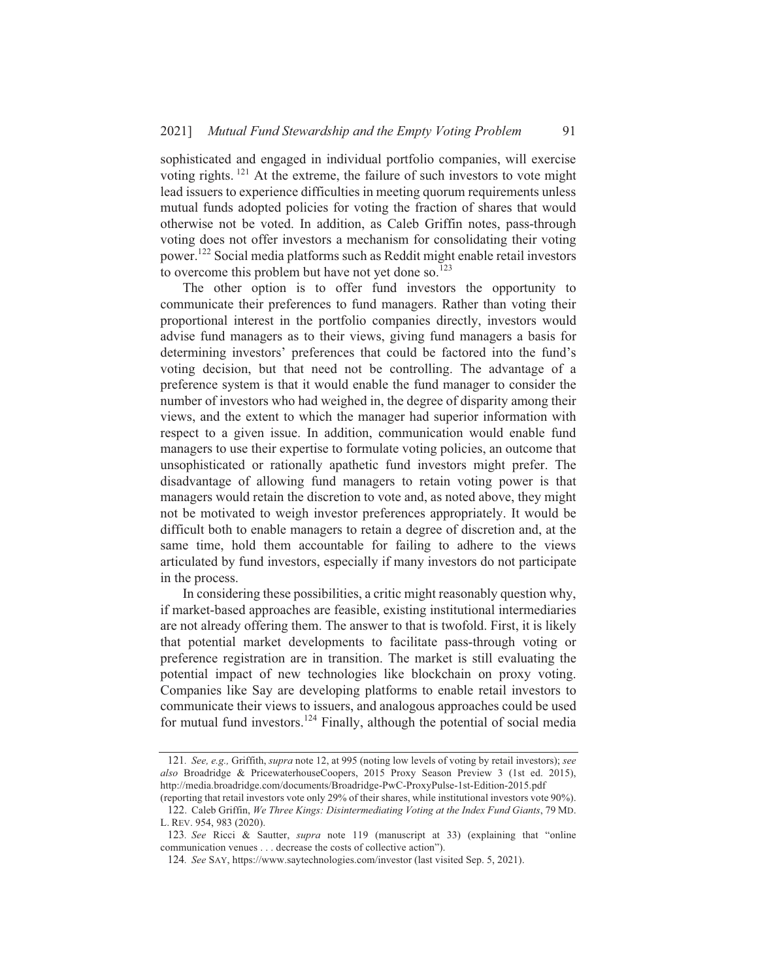sophisticated and engaged in individual portfolio companies, will exercise voting rights.<sup>121</sup> At the extreme, the failure of such investors to vote might lead issuers to experience difficulties in meeting quorum requirements unless mutual funds adopted policies for voting the fraction of shares that would otherwise not be voted. In addition, as Caleb Griffin notes, pass-through voting does not offer investors a mechanism for consolidating their voting power.<sup>122</sup> Social media platforms such as Reddit might enable retail investors to overcome this problem but have not yet done so.  $123$ 

The other option is to offer fund investors the opportunity to communicate their preferences to fund managers. Rather than voting their proportional interest in the portfolio companies directly, investors would advise fund managers as to their views, giving fund managers a basis for determining investors' preferences that could be factored into the fund's voting decision, but that need not be controlling. The advantage of a preference system is that it would enable the fund manager to consider the number of investors who had weighed in, the degree of disparity among their views, and the extent to which the manager had superior information with respect to a given issue. In addition, communication would enable fund managers to use their expertise to formulate voting policies, an outcome that unsophisticated or rationally apathetic fund investors might prefer. The disadvantage of allowing fund managers to retain voting power is that managers would retain the discretion to vote and, as noted above, they might not be motivated to weigh investor preferences appropriately. It would be difficult both to enable managers to retain a degree of discretion and, at the same time, hold them accountable for failing to adhere to the views articulated by fund investors, especially if many investors do not participate in the process.

In considering these possibilities, a critic might reasonably question why, if market-based approaches are feasible, existing institutional intermediaries are not already offering them. The answer to that is twofold. First, it is likely that potential market developments to facilitate pass-through voting or preference registration are in transition. The market is still evaluating the potential impact of new technologies like blockchain on proxy voting. Companies like Say are developing platforms to enable retail investors to communicate their views to issuers, and analogous approaches could be used for mutual fund investors.<sup>124</sup> Finally, although the potential of social media

<sup>121.</sup> See, e.g., Griffith, supra note 12, at 995 (noting low levels of voting by retail investors); see also Broadridge & PricewaterhouseCoopers, 2015 Proxy Season Preview 3 (1st ed. 2015), http://media.broadridge.com/documents/Broadridge-PwC-ProxyPulse-1st-Edition-2015.pdf

<sup>(</sup>reporting that retail investors vote only 29% of their shares, while institutional investors vote 90%). 122. Caleb Griffin, We Three Kings: Disintermediating Voting at the Index Fund Giants, 79 MD. L. REV. 954, 983 (2020).

<sup>123.</sup> See Ricci & Sautter, *supra* note 119 (manuscript at 33) (explaining that "online communication venues . . . decrease the costs of collective action").

<sup>124.</sup> See SAY, https://www.saytechnologies.com/investor (last visited Sep. 5, 2021).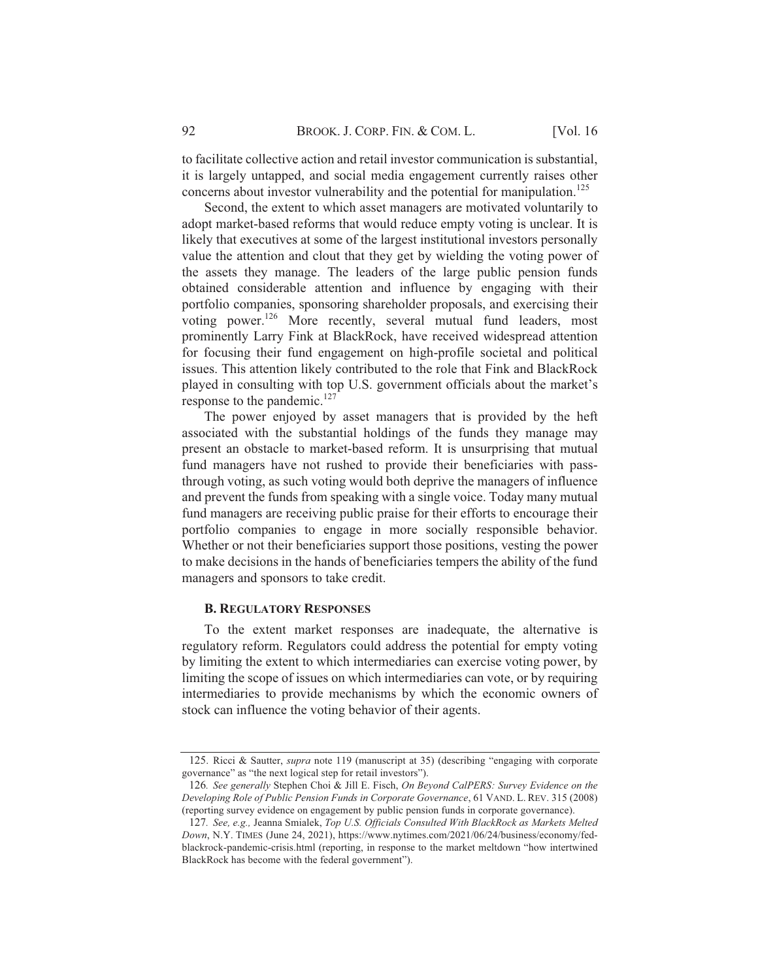to facilitate collective action and retail investor communication is substantial, it is largely untapped, and social media engagement currently raises other concerns about investor vulnerability and the potential for manipulation.<sup>125</sup>

Second, the extent to which asset managers are motivated voluntarily to adopt market-based reforms that would reduce empty voting is unclear. It is likely that executives at some of the largest institutional investors personally value the attention and clout that they get by wielding the voting power of the assets they manage. The leaders of the large public pension funds obtained considerable attention and influence by engaging with their portfolio companies, sponsoring shareholder proposals, and exercising their voting power.<sup>126</sup> More recently, several mutual fund leaders, most prominently Larry Fink at BlackRock, have received widespread attention for focusing their fund engagement on high-profile societal and political issues. This attention likely contributed to the role that Fink and BlackRock played in consulting with top U.S. government officials about the market's response to the pandemic. $^{127}$ 

The power enjoyed by asset managers that is provided by the heft associated with the substantial holdings of the funds they manage may present an obstacle to market-based reform. It is unsurprising that mutual fund managers have not rushed to provide their beneficiaries with passthrough voting, as such voting would both deprive the managers of influence and prevent the funds from speaking with a single voice. Today many mutual fund managers are receiving public praise for their efforts to encourage their portfolio companies to engage in more socially responsible behavior. Whether or not their beneficiaries support those positions, vesting the power to make decisions in the hands of beneficiaries tempers the ability of the fund managers and sponsors to take credit.

#### **B. REGULATORY RESPONSES**

To the extent market responses are inadequate, the alternative is regulatory reform. Regulators could address the potential for empty voting by limiting the extent to which intermediaries can exercise voting power, by limiting the scope of issues on which intermediaries can vote, or by requiring intermediaries to provide mechanisms by which the economic owners of stock can influence the voting behavior of their agents.

<sup>125.</sup> Ricci & Sautter, *supra* note 119 (manuscript at 35) (describing "engaging with corporate governance" as "the next logical step for retail investors").

<sup>126.</sup> See generally Stephen Choi & Jill E. Fisch, On Beyond CalPERS: Survey Evidence on the Developing Role of Public Pension Funds in Corporate Governance, 61 VAND. L. REV. 315 (2008) (reporting survey evidence on engagement by public pension funds in corporate governance).

<sup>127.</sup> See, e.g., Jeanna Smialek, Top U.S. Officials Consulted With BlackRock as Markets Melted Down, N.Y. TIMES (June 24, 2021), https://www.nytimes.com/2021/06/24/business/economy/fedblackrock-pandemic-crisis.html (reporting, in response to the market meltdown "how intertwined BlackRock has become with the federal government").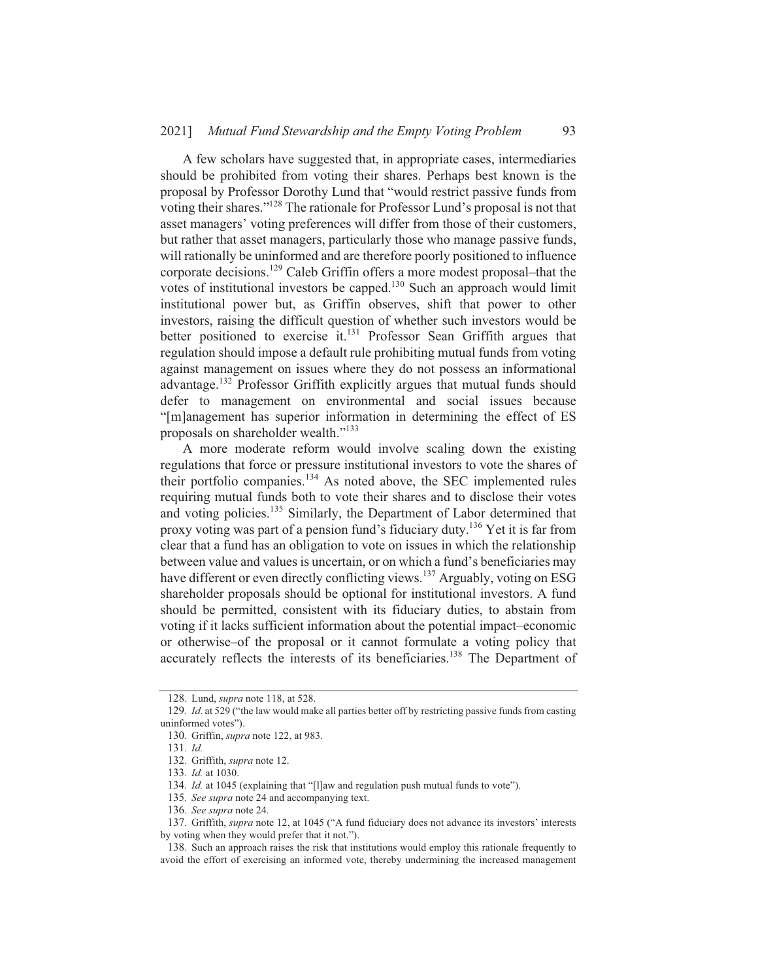A few scholars have suggested that, in appropriate cases, intermediaries should be prohibited from voting their shares. Perhaps best known is the proposal by Professor Dorothy Lund that "would restrict passive funds from voting their shares."<sup>128</sup> The rationale for Professor Lund's proposal is not that asset managers' voting preferences will differ from those of their customers, but rather that asset managers, particularly those who manage passive funds, will rationally be uninformed and are therefore poorly positioned to influence corporate decisions.<sup>129</sup> Caleb Griffin offers a more modest proposal–that the votes of institutional investors be capped.<sup>130</sup> Such an approach would limit institutional power but, as Griffin observes, shift that power to other investors, raising the difficult question of whether such investors would be better positioned to exercise it.<sup>131</sup> Professor Sean Griffith argues that regulation should impose a default rule prohibiting mutual funds from voting against management on issues where they do not possess an informational advantage.<sup>132</sup> Professor Griffith explicitly argues that mutual funds should defer to management on environmental and social issues because "[m]anagement has superior information in determining the effect of ES proposals on shareholder wealth."<sup>133</sup>

A more moderate reform would involve scaling down the existing regulations that force or pressure institutional investors to vote the shares of their portfolio companies.<sup>134</sup> As noted above, the SEC implemented rules requiring mutual funds both to vote their shares and to disclose their votes and voting policies.<sup>135</sup> Similarly, the Department of Labor determined that proxy voting was part of a pension fund's fiduciary duty.<sup>136</sup> Yet it is far from clear that a fund has an obligation to vote on issues in which the relationship between value and values is uncertain, or on which a fund's beneficiaries may have different or even directly conflicting views.<sup>137</sup> Arguably, voting on ESG shareholder proposals should be optional for institutional investors. A fund should be permitted, consistent with its fiduciary duties, to abstain from voting if it lacks sufficient information about the potential impact-economic or otherwise–of the proposal or it cannot formulate a voting policy that accurately reflects the interests of its beneficiaries.<sup>138</sup> The Department of

<sup>128.</sup> Lund, *supra* note 118, at 528.

<sup>129.</sup> Id. at 529 ("the law would make all parties better off by restricting passive funds from casting uninformed votes").

<sup>130.</sup> Griffin, supra note 122, at 983.

<sup>131.</sup> Id.

<sup>132.</sup> Griffith, supra note 12.

<sup>133.</sup> Id. at 1030.

<sup>134.</sup> Id. at 1045 (explaining that "[I]aw and regulation push mutual funds to vote").

<sup>135.</sup> See supra note 24 and accompanying text.

<sup>136.</sup> See supra note 24.

<sup>137.</sup> Griffith, *supra* note 12, at 1045 ("A fund fiduciary does not advance its investors' interests by voting when they would prefer that it not.").

<sup>138.</sup> Such an approach raises the risk that institutions would employ this rationale frequently to avoid the effort of exercising an informed vote, thereby undermining the increased management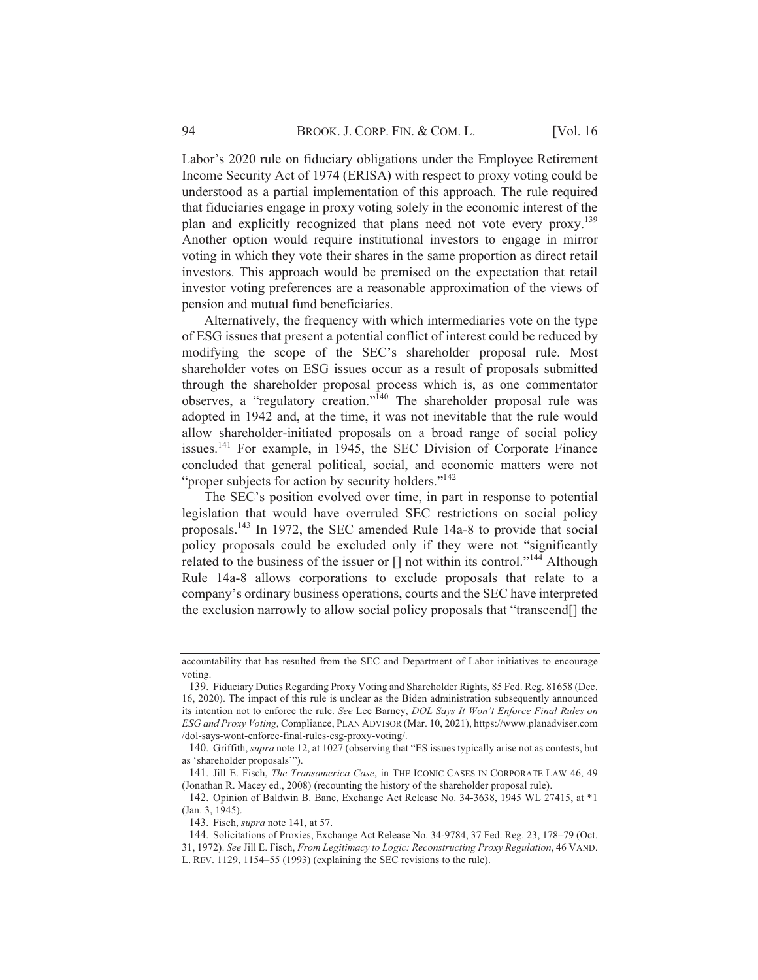Labor's 2020 rule on fiduciary obligations under the Employee Retirement Income Security Act of 1974 (ERISA) with respect to proxy voting could be understood as a partial implementation of this approach. The rule required that fiduciaries engage in proxy voting solely in the economic interest of the plan and explicitly recognized that plans need not vote every proxy.<sup>139</sup> Another option would require institutional investors to engage in mirror voting in which they vote their shares in the same proportion as direct retail investors. This approach would be premised on the expectation that retail investor voting preferences are a reasonable approximation of the views of pension and mutual fund beneficiaries.

Alternatively, the frequency with which intermediaries vote on the type of ESG issues that present a potential conflict of interest could be reduced by modifying the scope of the SEC's shareholder proposal rule. Most shareholder votes on ESG issues occur as a result of proposals submitted through the shareholder proposal process which is, as one commentator observes, a "regulatory creation."<sup>140</sup> The shareholder proposal rule was adopted in 1942 and, at the time, it was not inevitable that the rule would allow shareholder-initiated proposals on a broad range of social policy issues.<sup>141</sup> For example, in 1945, the SEC Division of Corporate Finance concluded that general political, social, and economic matters were not "proper subjects for action by security holders."<sup>142</sup>

The SEC's position evolved over time, in part in response to potential legislation that would have overruled SEC restrictions on social policy proposals.<sup>143</sup> In 1972, the SEC amended Rule 14a-8 to provide that social policy proposals could be excluded only if they were not "significantly related to the business of the issuer or [] not within its control."<sup>144</sup> Although Rule 14a-8 allows corporations to exclude proposals that relate to a company's ordinary business operations, courts and the SEC have interpreted the exclusion narrowly to allow social policy proposals that "transcend.

accountability that has resulted from the SEC and Department of Labor initiatives to encourage voting.

<sup>139.</sup> Fiduciary Duties Regarding Proxy Voting and Shareholder Rights, 85 Fed. Reg. 81658 (Dec. 16, 2020). The impact of this rule is unclear as the Biden administration subsequently announced its intention not to enforce the rule. See Lee Barney, DOL Says It Won't Enforce Final Rules on ESG and Proxy Voting, Compliance, PLAN ADVISOR (Mar. 10, 2021), https://www.planadviser.com /dol-says-wont-enforce-final-rules-esg-proxy-voting/.

<sup>140.</sup> Griffith, supra note 12, at 1027 (observing that "ES issues typically arise not as contests, but as 'shareholder proposals'").

<sup>141.</sup> Jill E. Fisch, The Transamerica Case, in THE ICONIC CASES IN CORPORATE LAW 46, 49 (Jonathan R. Macey ed., 2008) (recounting the history of the shareholder proposal rule).

<sup>142.</sup> Opinion of Baldwin B. Bane, Exchange Act Release No. 34-3638, 1945 WL 27415, at \*1 (Jan. 3, 1945).

<sup>143.</sup> Fisch, *supra* note 141, at 57.

<sup>144.</sup> Solicitations of Proxies, Exchange Act Release No. 34-9784, 37 Fed. Reg. 23, 178-79 (Oct. 31, 1972). See Jill E. Fisch, From Legitimacy to Logic: Reconstructing Proxy Regulation, 46 VAND. L. REV. 1129, 1154–55 (1993) (explaining the SEC revisions to the rule).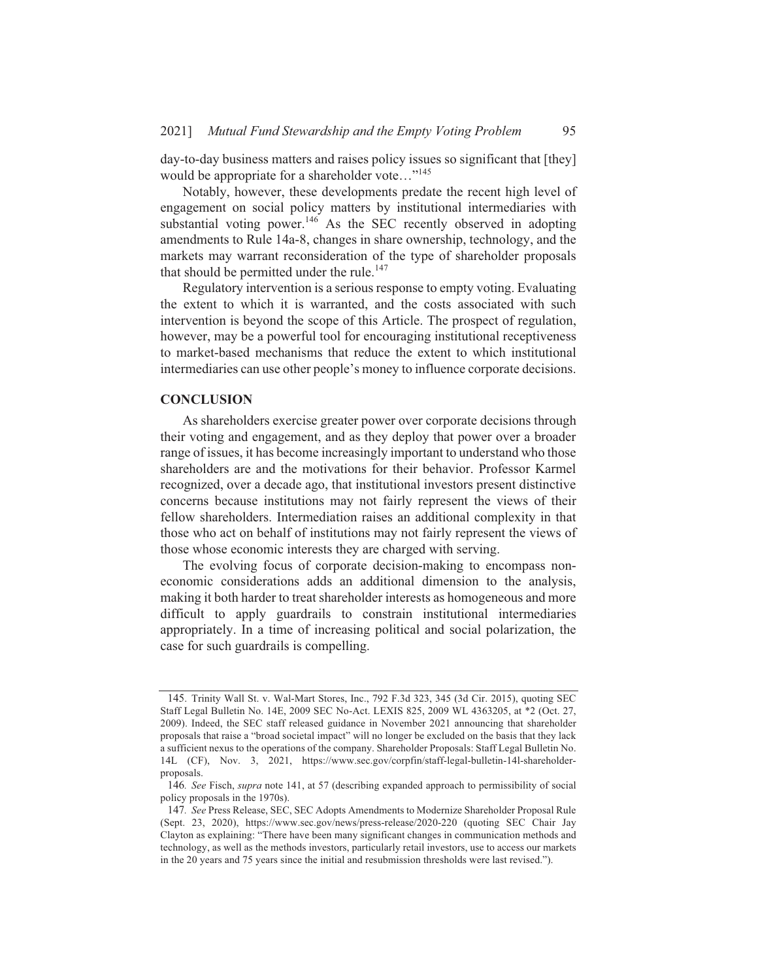day-to-day business matters and raises policy issues so significant that [they] would be appropriate for a shareholder vote..."<sup>145</sup>

Notably, however, these developments predate the recent high level of engagement on social policy matters by institutional intermediaries with substantial voting power.<sup>146</sup> As the SEC recently observed in adopting amendments to Rule 14a-8, changes in share ownership, technology, and the markets may warrant reconsideration of the type of shareholder proposals that should be permitted under the rule.<sup>147</sup>

Regulatory intervention is a serious response to empty voting. Evaluating the extent to which it is warranted, and the costs associated with such intervention is beyond the scope of this Article. The prospect of regulation, however, may be a powerful tool for encouraging institutional receptiveness to market-based mechanisms that reduce the extent to which institutional intermediaries can use other people's money to influence corporate decisions.

#### **CONCLUSION**

As shareholders exercise greater power over corporate decisions through their voting and engagement, and as they deploy that power over a broader range of issues, it has become increasingly important to understand who those shareholders are and the motivations for their behavior. Professor Karmel recognized, over a decade ago, that institutional investors present distinctive concerns because institutions may not fairly represent the views of their fellow shareholders. Intermediation raises an additional complexity in that those who act on behalf of institutions may not fairly represent the views of those whose economic interests they are charged with serving.

The evolving focus of corporate decision-making to encompass noneconomic considerations adds an additional dimension to the analysis, making it both harder to treat shareholder interests as homogeneous and more difficult to apply guardrails to constrain institutional intermediaries appropriately. In a time of increasing political and social polarization, the case for such guardrails is compelling.

<sup>145.</sup> Trinity Wall St. v. Wal-Mart Stores, Inc., 792 F.3d 323, 345 (3d Cir. 2015), quoting SEC Staff Legal Bulletin No. 14E, 2009 SEC No-Act. LEXIS 825, 2009 WL 4363205, at \*2 (Oct. 27, 2009). Indeed, the SEC staff released guidance in November 2021 announcing that shareholder proposals that raise a "broad societal impact" will no longer be excluded on the basis that they lack a sufficient nexus to the operations of the company. Shareholder Proposals: Staff Legal Bulletin No. 14L (CF), Nov. 3, 2021, https://www.sec.gov/corpfin/staff-legal-bulletin-141-shareholderproposals.

<sup>146.</sup> See Fisch, supra note 141, at 57 (describing expanded approach to permissibility of social policy proposals in the 1970s).

<sup>147.</sup> See Press Release, SEC, SEC Adopts Amendments to Modernize Shareholder Proposal Rule (Sept. 23, 2020), https://www.sec.gov/news/press-release/2020-220 (quoting SEC Chair Jay Clayton as explaining: "There have been many significant changes in communication methods and technology, as well as the methods investors, particularly retail investors, use to access our markets in the 20 years and 75 years since the initial and resubmission thresholds were last revised.").